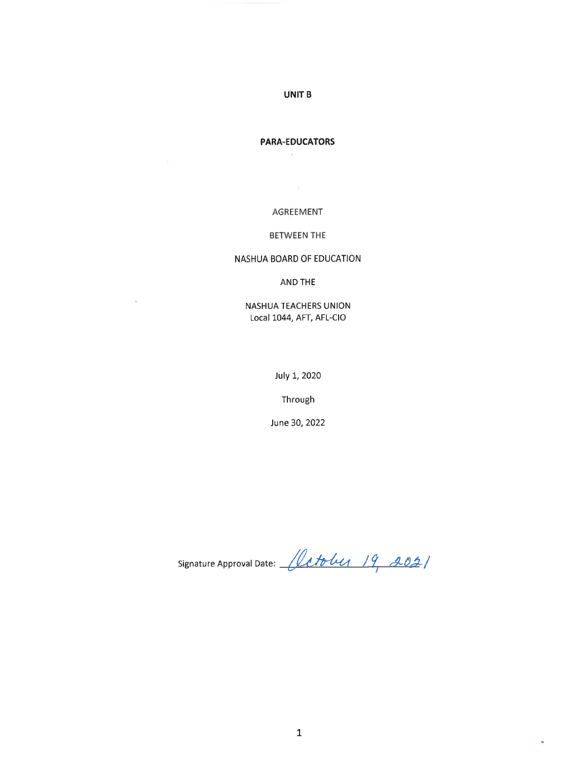#### **UNIT B**

# **PARA-EDUCATORS**  $\sim 80$

AGREEMENT

## BETWEEN THE

#### NASHUA BOARD OF EDUCATION

AND THE

NASHUA TEACHERS UNION Local 1044, AFT, AFL-CIO

 $\bar{\bar{z}}$ 

July 1, 2020

Through

June 30, 2022

Signature Approval Date: *(letoly 19, 2021* 

 $\tilde{\bullet}$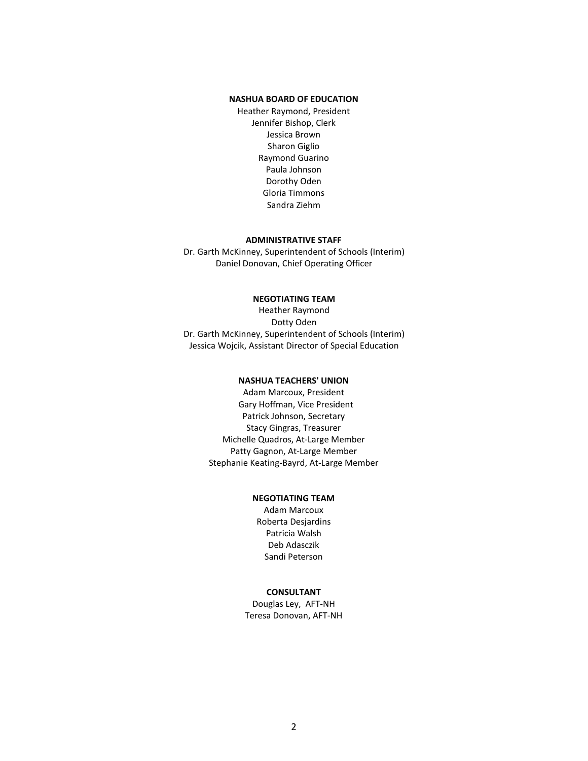#### **NASHUA BOARD OF EDUCATION**

Heather Raymond, President Jennifer Bishop, Clerk Jessica Brown Sharon Giglio Raymond Guarino Paula Johnson Dorothy Oden Gloria Timmons Sandra Ziehm

#### **ADMINISTRATIVE STAFF**

Dr. Garth McKinney, Superintendent of Schools (Interim) Daniel Donovan, Chief Operating Officer

#### **NEGOTIATING TEAM**

Heather Raymond Dotty Oden Dr. Garth McKinney, Superintendent of Schools (Interim) Jessica Wojcik, Assistant Director of Special Education

# **NASHUA TEACHERS' UNION**

Adam Marcoux, President Gary Hoffman, Vice President Patrick Johnson, Secretary Stacy Gingras, Treasurer Michelle Quadros, At-Large Member Patty Gagnon, At-Large Member Stephanie Keating-Bayrd, At-Large Member

#### **NEGOTIATING TEAM**

Adam Marcoux Roberta Desjardins Patricia Walsh Deb Adasczik Sandi Peterson

# **CONSULTANT**

Douglas Ley, AFT-NH Teresa Donovan, AFT-NH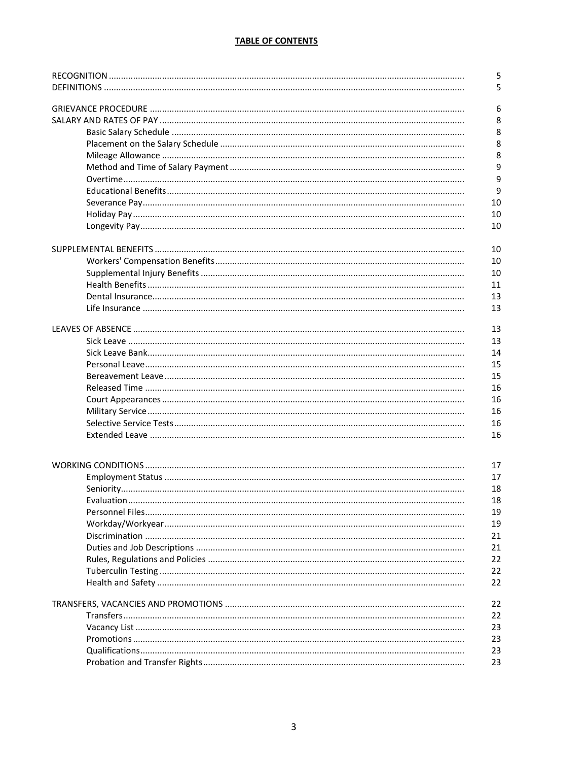# **TABLE OF CONTENTS**

| 5  |
|----|
| 5  |
| 6  |
| 8  |
| 8  |
| 8  |
| 8  |
| 9  |
| 9  |
| 9  |
| 10 |
| 10 |
|    |
| 10 |
| 10 |
| 10 |
| 10 |
| 11 |
| 13 |
| 13 |
| 13 |
| 13 |
| 14 |
| 15 |
| 15 |
| 16 |
| 16 |
| 16 |
|    |
| 16 |
| 16 |
| 17 |
| 17 |
| 18 |
| 18 |
|    |
| 19 |
| 19 |
| 21 |
| 21 |
| 22 |
| 22 |
| 22 |
| 22 |
| 22 |
| 23 |
| 23 |
| 23 |
| 23 |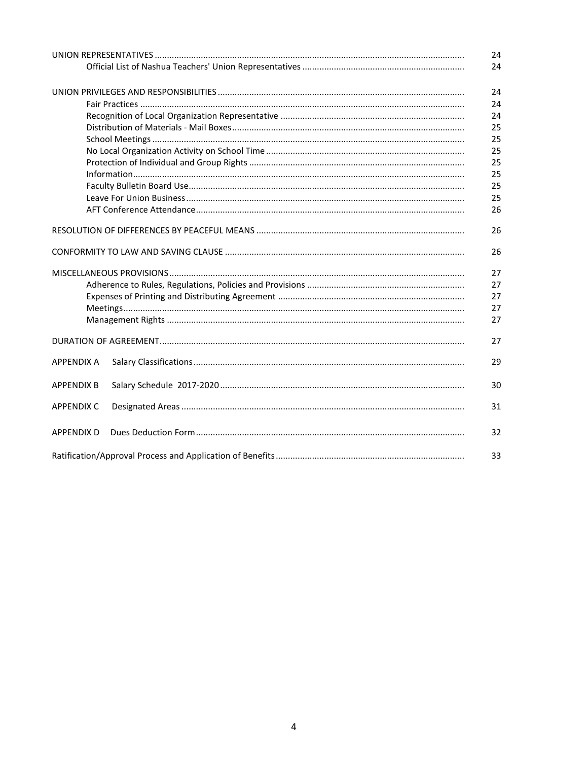|                   | 24 |
|-------------------|----|
|                   | 24 |
|                   | 24 |
|                   | 24 |
|                   | 24 |
|                   | 25 |
|                   | 25 |
|                   | 25 |
|                   | 25 |
|                   | 25 |
|                   | 25 |
|                   | 25 |
|                   | 26 |
|                   |    |
|                   | 26 |
|                   | 26 |
|                   | 27 |
|                   | 27 |
|                   | 27 |
|                   | 27 |
|                   | 27 |
|                   | 27 |
|                   |    |
| <b>APPENDIX A</b> | 29 |
| <b>APPENDIX B</b> | 30 |
| <b>APPENDIX C</b> | 31 |
|                   |    |
| <b>APPENDIX D</b> | 32 |
|                   | 33 |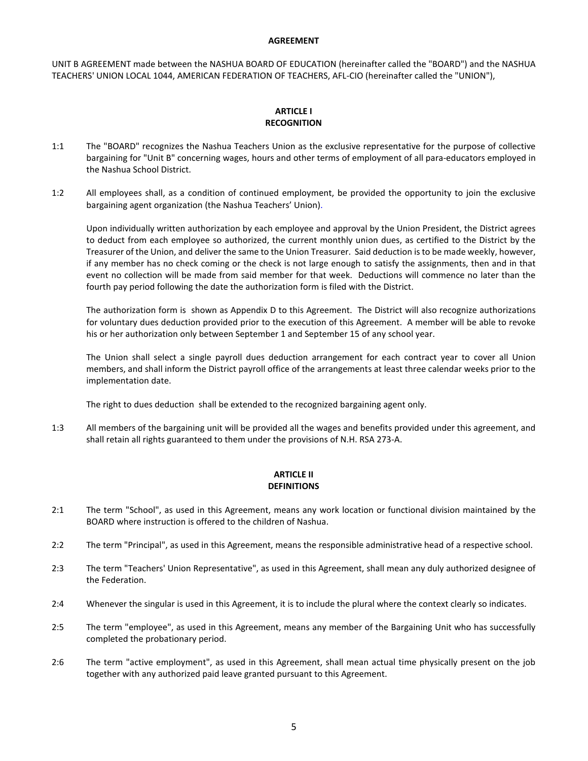#### **AGREEMENT**

UNIT B AGREEMENT made between the NASHUA BOARD OF EDUCATION (hereinafter called the "BOARD") and the NASHUA TEACHERS' UNION LOCAL 1044, AMERICAN FEDERATION OF TEACHERS, AFL-CIO (hereinafter called the "UNION"),

# **ARTICLE I RECOGNITION**

- 1:1 The "BOARD" recognizes the Nashua Teachers Union as the exclusive representative for the purpose of collective bargaining for "Unit B" concerning wages, hours and other terms of employment of all para-educators employed in the Nashua School District.
- 1:2 All employees shall, as a condition of continued employment, be provided the opportunity to join the exclusive bargaining agent organization (the Nashua Teachers' Union).

Upon individually written authorization by each employee and approval by the Union President, the District agrees to deduct from each employee so authorized, the current monthly union dues, as certified to the District by the Treasurer of the Union, and deliver the same to the Union Treasurer. Said deduction is to be made weekly, however, if any member has no check coming or the check is not large enough to satisfy the assignments, then and in that event no collection will be made from said member for that week. Deductions will commence no later than the fourth pay period following the date the authorization form is filed with the District.

The authorization form is shown as Appendix D to this Agreement. The District will also recognize authorizations for voluntary dues deduction provided prior to the execution of this Agreement. A member will be able to revoke his or her authorization only between September 1 and September 15 of any school year.

The Union shall select a single payroll dues deduction arrangement for each contract year to cover all Union members, and shall inform the District payroll office of the arrangements at least three calendar weeks prior to the implementation date.

The right to dues deduction shall be extended to the recognized bargaining agent only.

1:3 All members of the bargaining unit will be provided all the wages and benefits provided under this agreement, and shall retain all rights guaranteed to them under the provisions of N.H. RSA 273-A.

### **ARTICLE II DEFINITIONS**

- 2:1 The term "School", as used in this Agreement, means any work location or functional division maintained by the BOARD where instruction is offered to the children of Nashua.
- 2:2 The term "Principal", as used in this Agreement, means the responsible administrative head of a respective school.
- 2:3 The term "Teachers' Union Representative", as used in this Agreement, shall mean any duly authorized designee of the Federation.
- 2:4 Whenever the singular is used in this Agreement, it is to include the plural where the context clearly so indicates.
- 2:5 The term "employee", as used in this Agreement, means any member of the Bargaining Unit who has successfully completed the probationary period.
- 2:6 The term "active employment", as used in this Agreement, shall mean actual time physically present on the job together with any authorized paid leave granted pursuant to this Agreement.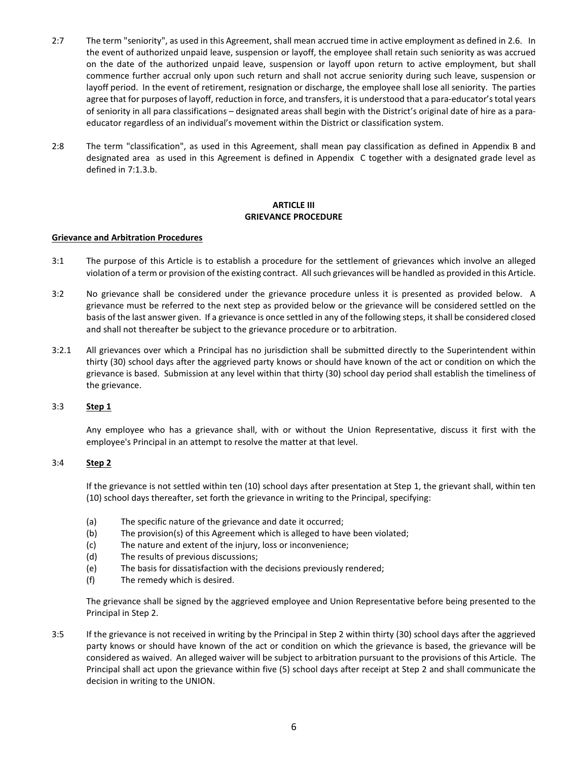- 2:7 The term "seniority", as used in this Agreement, shall mean accrued time in active employment as defined in 2.6. In the event of authorized unpaid leave, suspension or layoff, the employee shall retain such seniority as was accrued on the date of the authorized unpaid leave, suspension or layoff upon return to active employment, but shall commence further accrual only upon such return and shall not accrue seniority during such leave, suspension or layoff period. In the event of retirement, resignation or discharge, the employee shall lose all seniority. The parties agree that for purposes of layoff, reduction in force, and transfers, it is understood that a para-educator's total years of seniority in all para classifications – designated areas shall begin with the District's original date of hire as a paraeducator regardless of an individual's movement within the District or classification system.
- 2:8 The term "classification", as used in this Agreement, shall mean pay classification as defined in Appendix B and designated area as used in this Agreement is defined in Appendix C together with a designated grade level as defined in 7:1.3.b.

# **ARTICLE III GRIEVANCE PROCEDURE**

### **Grievance and Arbitration Procedures**

- 3:1 The purpose of this Article is to establish a procedure for the settlement of grievances which involve an alleged violation of a term or provision of the existing contract. All such grievances will be handled as provided in this Article.
- 3:2 No grievance shall be considered under the grievance procedure unless it is presented as provided below. A grievance must be referred to the next step as provided below or the grievance will be considered settled on the basis of the last answer given. If a grievance is once settled in any of the following steps, it shall be considered closed and shall not thereafter be subject to the grievance procedure or to arbitration.
- 3:2.1 All grievances over which a Principal has no jurisdiction shall be submitted directly to the Superintendent within thirty (30) school days after the aggrieved party knows or should have known of the act or condition on which the grievance is based. Submission at any level within that thirty (30) school day period shall establish the timeliness of the grievance.

### 3:3 **Step 1**

Any employee who has a grievance shall, with or without the Union Representative, discuss it first with the employee's Principal in an attempt to resolve the matter at that level.

#### 3:4 **Step 2**

If the grievance is not settled within ten (10) school days after presentation at Step 1, the grievant shall, within ten (10) school days thereafter, set forth the grievance in writing to the Principal, specifying:

- (a) The specific nature of the grievance and date it occurred;
- (b) The provision(s) of this Agreement which is alleged to have been violated;
- (c) The nature and extent of the injury, loss or inconvenience;
- (d) The results of previous discussions;
- (e) The basis for dissatisfaction with the decisions previously rendered;
- (f) The remedy which is desired.

The grievance shall be signed by the aggrieved employee and Union Representative before being presented to the Principal in Step 2.

3:5 If the grievance is not received in writing by the Principal in Step 2 within thirty (30) school days after the aggrieved party knows or should have known of the act or condition on which the grievance is based, the grievance will be considered as waived. An alleged waiver will be subject to arbitration pursuant to the provisions of this Article. The Principal shall act upon the grievance within five (5) school days after receipt at Step 2 and shall communicate the decision in writing to the UNION.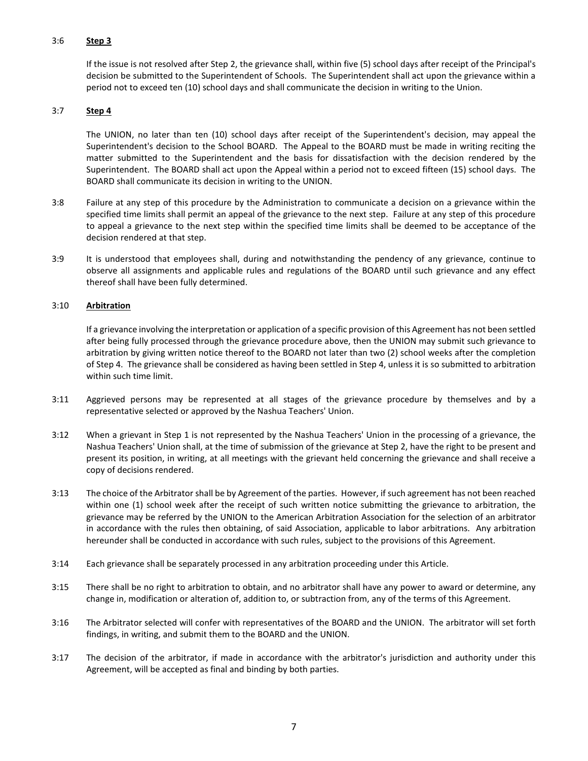## 3:6 **Step 3**

If the issue is not resolved after Step 2, the grievance shall, within five (5) school days after receipt of the Principal's decision be submitted to the Superintendent of Schools. The Superintendent shall act upon the grievance within a period not to exceed ten (10) school days and shall communicate the decision in writing to the Union.

### 3:7 **Step 4**

The UNION, no later than ten (10) school days after receipt of the Superintendent's decision, may appeal the Superintendent's decision to the School BOARD. The Appeal to the BOARD must be made in writing reciting the matter submitted to the Superintendent and the basis for dissatisfaction with the decision rendered by the Superintendent. The BOARD shall act upon the Appeal within a period not to exceed fifteen (15) school days. The BOARD shall communicate its decision in writing to the UNION.

- 3:8 Failure at any step of this procedure by the Administration to communicate a decision on a grievance within the specified time limits shall permit an appeal of the grievance to the next step. Failure at any step of this procedure to appeal a grievance to the next step within the specified time limits shall be deemed to be acceptance of the decision rendered at that step.
- 3:9 It is understood that employees shall, during and notwithstanding the pendency of any grievance, continue to observe all assignments and applicable rules and regulations of the BOARD until such grievance and any effect thereof shall have been fully determined.

#### 3:10 **Arbitration**

If a grievance involving the interpretation or application of a specific provision of this Agreement has not been settled after being fully processed through the grievance procedure above, then the UNION may submit such grievance to arbitration by giving written notice thereof to the BOARD not later than two (2) school weeks after the completion of Step 4. The grievance shall be considered as having been settled in Step 4, unless it is so submitted to arbitration within such time limit.

- 3:11 Aggrieved persons may be represented at all stages of the grievance procedure by themselves and by a representative selected or approved by the Nashua Teachers' Union.
- 3:12 When a grievant in Step 1 is not represented by the Nashua Teachers' Union in the processing of a grievance, the Nashua Teachers' Union shall, at the time of submission of the grievance at Step 2, have the right to be present and present its position, in writing, at all meetings with the grievant held concerning the grievance and shall receive a copy of decisions rendered.
- 3:13 The choice of the Arbitrator shall be by Agreement of the parties. However, if such agreement has not been reached within one (1) school week after the receipt of such written notice submitting the grievance to arbitration, the grievance may be referred by the UNION to the American Arbitration Association for the selection of an arbitrator in accordance with the rules then obtaining, of said Association, applicable to labor arbitrations. Any arbitration hereunder shall be conducted in accordance with such rules, subject to the provisions of this Agreement.
- 3:14 Each grievance shall be separately processed in any arbitration proceeding under this Article.
- 3:15 There shall be no right to arbitration to obtain, and no arbitrator shall have any power to award or determine, any change in, modification or alteration of, addition to, or subtraction from, any of the terms of this Agreement.
- 3:16 The Arbitrator selected will confer with representatives of the BOARD and the UNION. The arbitrator will set forth findings, in writing, and submit them to the BOARD and the UNION.
- 3:17 The decision of the arbitrator, if made in accordance with the arbitrator's jurisdiction and authority under this Agreement, will be accepted as final and binding by both parties.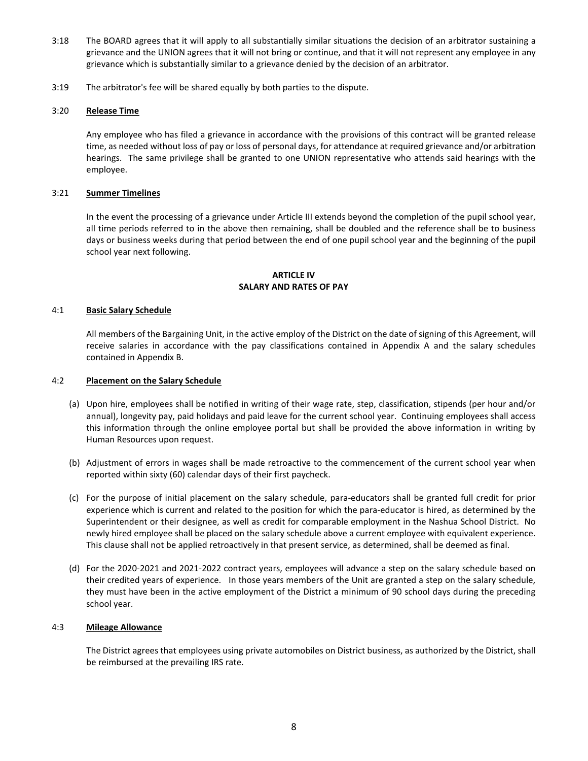- 3:18 The BOARD agrees that it will apply to all substantially similar situations the decision of an arbitrator sustaining a grievance and the UNION agrees that it will not bring or continue, and that it will not represent any employee in any grievance which is substantially similar to a grievance denied by the decision of an arbitrator.
- 3:19 The arbitrator's fee will be shared equally by both parties to the dispute.

#### 3:20 **Release Time**

Any employee who has filed a grievance in accordance with the provisions of this contract will be granted release time, as needed without loss of pay or loss of personal days, for attendance at required grievance and/or arbitration hearings. The same privilege shall be granted to one UNION representative who attends said hearings with the employee.

### 3:21 **Summer Timelines**

In the event the processing of a grievance under Article III extends beyond the completion of the pupil school year, all time periods referred to in the above then remaining, shall be doubled and the reference shall be to business days or business weeks during that period between the end of one pupil school year and the beginning of the pupil school year next following.

# **ARTICLE IV SALARY AND RATES OF PAY**

#### 4:1 **Basic Salary Schedule**

All members of the Bargaining Unit, in the active employ of the District on the date of signing of this Agreement, will receive salaries in accordance with the pay classifications contained in Appendix A and the salary schedules contained in Appendix B.

#### 4:2 **Placement on the Salary Schedule**

- (a) Upon hire, employees shall be notified in writing of their wage rate, step, classification, stipends (per hour and/or annual), longevity pay, paid holidays and paid leave for the current school year. Continuing employees shall access this information through the online employee portal but shall be provided the above information in writing by Human Resources upon request.
- (b) Adjustment of errors in wages shall be made retroactive to the commencement of the current school year when reported within sixty (60) calendar days of their first paycheck.
- (c) For the purpose of initial placement on the salary schedule, para-educators shall be granted full credit for prior experience which is current and related to the position for which the para-educator is hired, as determined by the Superintendent or their designee, as well as credit for comparable employment in the Nashua School District. No newly hired employee shall be placed on the salary schedule above a current employee with equivalent experience. This clause shall not be applied retroactively in that present service, as determined, shall be deemed as final.
- (d) For the 2020-2021 and 2021-2022 contract years, employees will advance a step on the salary schedule based on their credited years of experience. In those years members of the Unit are granted a step on the salary schedule, they must have been in the active employment of the District a minimum of 90 school days during the preceding school year.

#### 4:3 **Mileage Allowance**

The District agrees that employees using private automobiles on District business, as authorized by the District, shall be reimbursed at the prevailing IRS rate.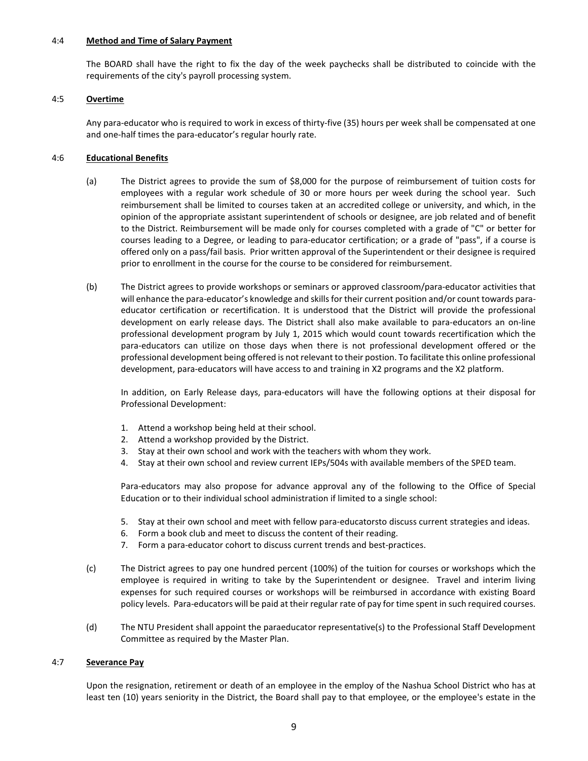#### 4:4 **Method and Time of Salary Payment**

The BOARD shall have the right to fix the day of the week paychecks shall be distributed to coincide with the requirements of the city's payroll processing system.

#### 4:5 **Overtime**

Any para-educator who is required to work in excess of thirty-five (35) hours per week shall be compensated at one and one-half times the para-educator's regular hourly rate.

### 4:6 **Educational Benefits**

- (a) The District agrees to provide the sum of \$8,000 for the purpose of reimbursement of tuition costs for employees with a regular work schedule of 30 or more hours per week during the school year. Such reimbursement shall be limited to courses taken at an accredited college or university, and which, in the opinion of the appropriate assistant superintendent of schools or designee, are job related and of benefit to the District. Reimbursement will be made only for courses completed with a grade of "C" or better for courses leading to a Degree, or leading to para-educator certification; or a grade of "pass", if a course is offered only on a pass/fail basis. Prior written approval of the Superintendent or their designee is required prior to enrollment in the course for the course to be considered for reimbursement.
- (b) The District agrees to provide workshops or seminars or approved classroom/para-educator activities that will enhance the para-educator's knowledge and skills for their current position and/or count towards paraeducator certification or recertification. It is understood that the District will provide the professional development on early release days. The District shall also make available to para-educators an on-line professional development program by July 1, 2015 which would count towards recertification which the para-educators can utilize on those days when there is not professional development offered or the professional development being offered is not relevant to their postion. To facilitate this online professional development, para-educators will have access to and training in X2 programs and the X2 platform.

In addition, on Early Release days, para-educators will have the following options at their disposal for Professional Development:

- 1. Attend a workshop being held at their school.
- 2. Attend a workshop provided by the District.
- 3. Stay at their own school and work with the teachers with whom they work.
- 4. Stay at their own school and review current IEPs/504s with available members of the SPED team.

Para-educators may also propose for advance approval any of the following to the Office of Special Education or to their individual school administration if limited to a single school:

- 5. Stay at their own school and meet with fellow para-educatorsto discuss current strategies and ideas.
- 6. Form a book club and meet to discuss the content of their reading.
- 7. Form a para-educator cohort to discuss current trends and best-practices.
- (c) The District agrees to pay one hundred percent (100%) of the tuition for courses or workshops which the employee is required in writing to take by the Superintendent or designee. Travel and interim living expenses for such required courses or workshops will be reimbursed in accordance with existing Board policy levels. Para-educators will be paid at their regular rate of pay for time spent in such required courses.
- (d) The NTU President shall appoint the paraeducator representative(s) to the Professional Staff Development Committee as required by the Master Plan.

#### 4:7 **Severance Pay**

Upon the resignation, retirement or death of an employee in the employ of the Nashua School District who has at least ten (10) years seniority in the District, the Board shall pay to that employee, or the employee's estate in the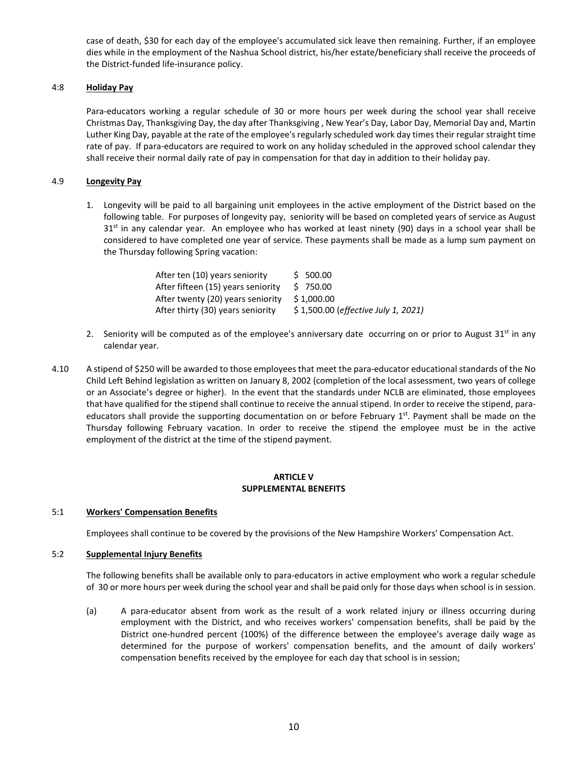case of death, \$30 for each day of the employee's accumulated sick leave then remaining. Further, if an employee dies while in the employment of the Nashua School district, his/her estate/beneficiary shall receive the proceeds of the District-funded life-insurance policy.

# 4:8 **Holiday Pay**

Para-educators working a regular schedule of 30 or more hours per week during the school year shall receive Christmas Day, Thanksgiving Day, the day after Thanksgiving , New Year's Day, Labor Day, Memorial Day and, Martin Luther King Day, payable at the rate of the employee's regularly scheduled work day times their regular straight time rate of pay. If para-educators are required to work on any holiday scheduled in the approved school calendar they shall receive their normal daily rate of pay in compensation for that day in addition to their holiday pay.

# 4.9 **Longevity Pay**

1. Longevity will be paid to all bargaining unit employees in the active employment of the District based on the following table. For purposes of longevity pay, seniority will be based on completed years of service as August  $31<sup>st</sup>$  in any calendar year. An employee who has worked at least ninety (90) days in a school year shall be considered to have completed one year of service. These payments shall be made as a lump sum payment on the Thursday following Spring vacation:

| After ten (10) years seniority     | \$ 500.00                           |
|------------------------------------|-------------------------------------|
| After fifteen (15) years seniority | \$750.00                            |
| After twenty (20) years seniority  | \$1,000.00                          |
| After thirty (30) years seniority  | \$1,500.00 (effective July 1, 2021) |

- 2. Seniority will be computed as of the employee's anniversary date occurring on or prior to August  $31^{st}$  in any calendar year.
- 4.10 A stipend of \$250 will be awarded to those employees that meet the para-educator educational standards of the No Child Left Behind legislation as written on January 8, 2002 (completion of the local assessment, two years of college or an Associate's degree or higher). In the event that the standards under NCLB are eliminated, those employees that have qualified for the stipend shall continue to receive the annual stipend. In order to receive the stipend, paraeducators shall provide the supporting documentation on or before February  $1^{st}$ . Payment shall be made on the Thursday following February vacation. In order to receive the stipend the employee must be in the active employment of the district at the time of the stipend payment.

# **ARTICLE V SUPPLEMENTAL BENEFITS**

#### 5:1 **Workers' Compensation Benefits**

Employees shall continue to be covered by the provisions of the New Hampshire Workers' Compensation Act.

# 5:2 **Supplemental Injury Benefits**

The following benefits shall be available only to para-educators in active employment who work a regular schedule of 30 or more hours per week during the school year and shall be paid only for those days when school is in session.

(a) A para-educator absent from work as the result of a work related injury or illness occurring during employment with the District, and who receives workers' compensation benefits, shall be paid by the District one-hundred percent (100%) of the difference between the employee's average daily wage as determined for the purpose of workers' compensation benefits, and the amount of daily workers' compensation benefits received by the employee for each day that school is in session;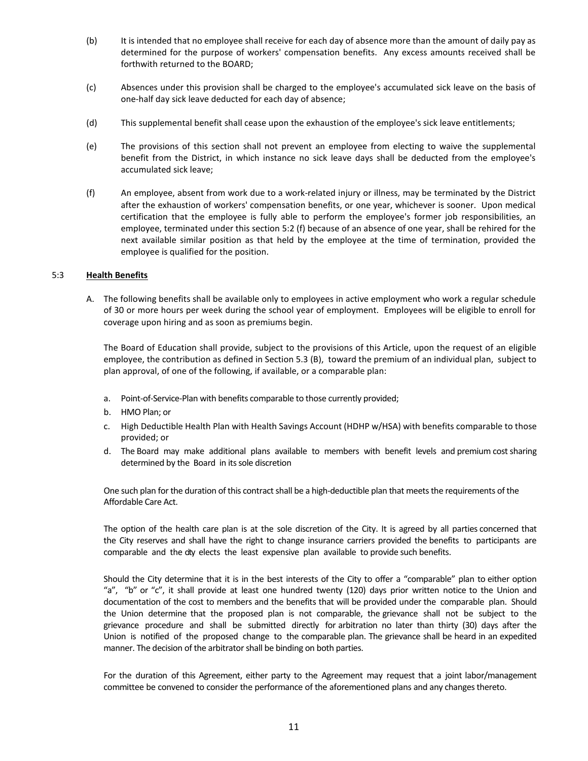- (b) It is intended that no employee shall receive for each day of absence more than the amount of daily pay as determined for the purpose of workers' compensation benefits. Any excess amounts received shall be forthwith returned to the BOARD;
- (c) Absences under this provision shall be charged to the employee's accumulated sick leave on the basis of one-half day sick leave deducted for each day of absence;
- (d) This supplemental benefit shall cease upon the exhaustion of the employee's sick leave entitlements;
- (e) The provisions of this section shall not prevent an employee from electing to waive the supplemental benefit from the District, in which instance no sick leave days shall be deducted from the employee's accumulated sick leave;
- (f) An employee, absent from work due to a work-related injury or illness, may be terminated by the District after the exhaustion of workers' compensation benefits, or one year, whichever is sooner. Upon medical certification that the employee is fully able to perform the employee's former job responsibilities, an employee, terminated under this section 5:2 (f) because of an absence of one year, shall be rehired for the next available similar position as that held by the employee at the time of termination, provided the employee is qualified for the position.

# 5:3 **Health Benefits**

A. The following benefits shall be available only to employees in active employment who work a regular schedule of 30 or more hours per week during the school year of employment. Employees will be eligible to enroll for coverage upon hiring and as soon as premiums begin.

The Board of Education shall provide, subject to the provisions of this Article, upon the request of an eligible employee, the contribution as defined in Section 5.3 (B), toward the premium of an individual plan, subject to plan approval, of one of the following, if available, or a comparable plan:

- a. Point-of-Service-Plan with benefits comparable to those currently provided;
- b. HMO Plan; or
- c. High Deductible Health Plan with Health Savings Account (HDHP w/HSA) with benefits comparable to those provided; or
- d. The Board may make additional plans available to members with benefit levels and premium cost sharing determined by the Board in its sole discretion

One such plan for the duration of this contract shall be a high-deductible plan that meets the requirements of the Affordable Care Act.

The option of the health care plan is at the sole discretion of the City. It is agreed by all parties concerned that the City reserves and shall have the right to change insurance carriers provided the benefits to participants are comparable and the city elects the least expensive plan available to provide such benefits.

Should the City determine that it is in the best interests of the City to offer a "comparable" plan to either option "a", "b" or "c", it shall provide at least one hundred twenty (120) days prior written notice to the Union and documentation of the cost to members and the benefits that will be provided under the comparable plan. Should the Union determine that the proposed plan is not comparable, the grievance shall not be subject to the grievance procedure and shall be submitted directly for arbitration no later than thirty (30) days after the Union is notified of the proposed change to the comparable plan. The grievance shall be heard in an expedited manner. The decision of the arbitrator shall be binding on both parties.

For the duration of this Agreement, either party to the Agreement may request that a joint labor/management committee be convened to consider the performance of the aforementioned plans and any changes thereto.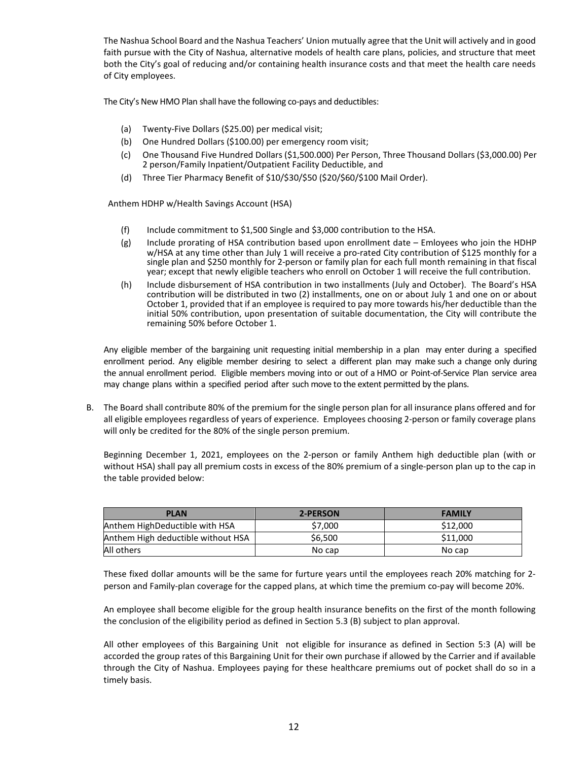The Nashua School Board and the Nashua Teachers' Union mutually agree that the Unit will actively and in good faith pursue with the City of Nashua, alternative models of health care plans, policies, and structure that meet both the City's goal of reducing and/or containing health insurance costs and that meet the health care needs of City employees.

The City's New HMO Plan shall have the following co-pays and deductibles:

- (a) Twenty-Five Dollars (\$25.00) per medical visit;
- (b) One Hundred Dollars (\$100.00) per emergency room visit;
- (c) One Thousand Five Hundred Dollars (\$1,500.000) Per Person, Three Thousand Dollars (\$3,000.00) Per 2 person/Family Inpatient/Outpatient Facility Deductible, and
- (d) Three Tier Pharmacy Benefit of \$10/\$30/\$50 (\$20/\$60/\$100 Mail Order).

Anthem HDHP w/Health Savings Account (HSA)

- (f) Include commitment to \$1,500 Single and \$3,000 contribution to the HSA.
- (g) Include prorating of HSA contribution based upon enrollment date Emloyees who join the HDHP w/HSA at any time other than July 1 will receive a pro-rated City contribution of \$125 monthly for a single plan and \$250 monthly for 2-person or family plan for each full month remaining in that fiscal year; except that newly eligible teachers who enroll on October 1 will receive the full contribution.
- (h) Include disbursement of HSA contribution in two installments (July and October). The Board's HSA contribution will be distributed in two (2) installments, one on or about July 1 and one on or about October 1, provided that if an employee is required to pay more towards his/her deductible than the initial 50% contribution, upon presentation of suitable documentation, the City will contribute the remaining 50% before October 1.

Any eligible member of the bargaining unit requesting initial membership in a plan may enter during a specified enrollment period. Any eligible member desiring to select a different plan may make such a change only during the annual enrollment period. Eligible members moving into or out of a HMO or Point-of-Service Plan service area may change plans within a specified period after such move to the extent permitted by the plans.

B. The Board shall contribute 80% of the premium for the single person plan for all insurance plans offered and for all eligible employees regardless of years of experience.Employees choosing 2-person or family coverage plans will only be credited for the 80% of the single person premium.

Beginning December 1, 2021, employees on the 2-person or family Anthem high deductible plan (with or without HSA) shall pay all premium costs in excess of the 80% premium of a single-person plan up to the cap in the table provided below:

| <b>PLAN</b>                        | <b>2-PERSON</b> | <b>FAMILY</b> |
|------------------------------------|-----------------|---------------|
| Anthem HighDeductible with HSA     | \$7,000         | \$12,000      |
| Anthem High deductible without HSA | \$6,500         | \$11,000      |
| All others                         | No cap          | No cap        |

These fixed dollar amounts will be the same for furture years until the employees reach 20% matching for 2 person and Family-plan coverage for the capped plans, at which time the premium co-pay will become 20%.

An employee shall become eligible for the group health insurance benefits on the first of the month following the conclusion of the eligibility period as defined in Section 5.3 (B) subject to plan approval.

All other employees of this Bargaining Unit not eligible for insurance as defined in Section 5:3 (A) will be accorded the group rates of this Bargaining Unit for their own purchase if allowed by the Carrier and if available through the City of Nashua. Employees paying for these healthcare premiums out of pocket shall do so in a timely basis.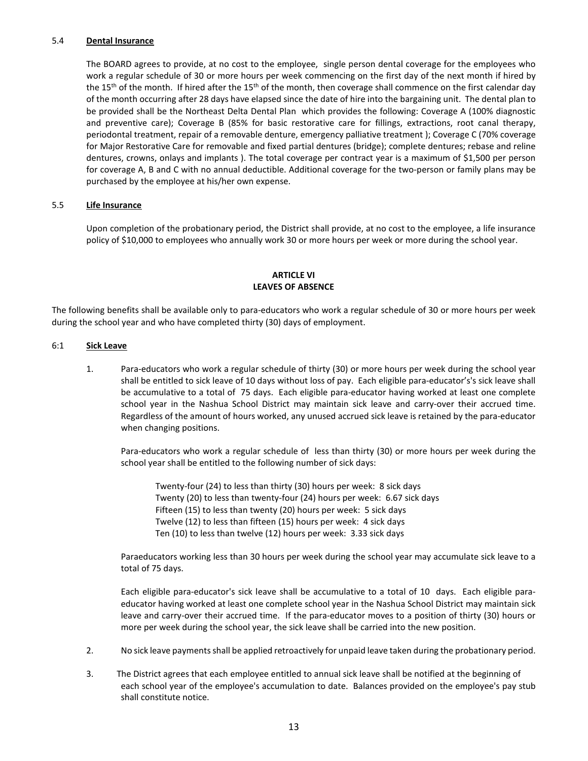#### 5.4 **Dental Insurance**

The BOARD agrees to provide, at no cost to the employee, single person dental coverage for the employees who work a regular schedule of 30 or more hours per week commencing on the first day of the next month if hired by the 15<sup>th</sup> of the month. If hired after the 15<sup>th</sup> of the month, then coverage shall commence on the first calendar day of the month occurring after 28 days have elapsed since the date of hire into the bargaining unit. The dental plan to be provided shall be the Northeast Delta Dental Plan which provides the following: Coverage A (100% diagnostic and preventive care); Coverage B (85% for basic restorative care for fillings, extractions, root canal therapy, periodontal treatment, repair of a removable denture, emergency palliative treatment ); Coverage C (70% coverage for Major Restorative Care for removable and fixed partial dentures (bridge); complete dentures; rebase and reline dentures, crowns, onlays and implants ). The total coverage per contract year is a maximum of \$1,500 per person for coverage A, B and C with no annual deductible. Additional coverage for the two-person or family plans may be purchased by the employee at his/her own expense.

#### 5.5 **Life Insurance**

Upon completion of the probationary period, the District shall provide, at no cost to the employee, a life insurance policy of \$10,000 to employees who annually work 30 or more hours per week or more during the school year.

# **ARTICLE VI LEAVES OF ABSENCE**

The following benefits shall be available only to para-educators who work a regular schedule of 30 or more hours per week during the school year and who have completed thirty (30) days of employment.

#### 6:1 **Sick Leave**

1. Para-educators who work a regular schedule of thirty (30) or more hours per week during the school year shall be entitled to sick leave of 10 days without loss of pay. Each eligible para-educator's's sick leave shall be accumulative to a total of 75 days. Each eligible para-educator having worked at least one complete school year in the Nashua School District may maintain sick leave and carry-over their accrued time. Regardless of the amount of hours worked, any unused accrued sick leave is retained by the para-educator when changing positions.

Para-educators who work a regular schedule of less than thirty (30) or more hours per week during the school year shall be entitled to the following number of sick days:

Twenty-four (24) to less than thirty (30) hours per week: 8 sick days Twenty (20) to less than twenty-four (24) hours per week: 6.67 sick days Fifteen (15) to less than twenty (20) hours per week: 5 sick days Twelve (12) to less than fifteen (15) hours per week: 4 sick days Ten (10) to less than twelve (12) hours per week: 3.33 sick days

Paraeducators working less than 30 hours per week during the school year may accumulate sick leave to a total of 75 days.

Each eligible para-educator's sick leave shall be accumulative to a total of 10 days. Each eligible paraeducator having worked at least one complete school year in the Nashua School District may maintain sick leave and carry-over their accrued time. If the para-educator moves to a position of thirty (30) hours or more per week during the school year, the sick leave shall be carried into the new position.

- 2. No sick leave payments shall be applied retroactively for unpaid leave taken during the probationary period.
- 3. The District agrees that each employee entitled to annual sick leave shall be notified at the beginning of each school year of the employee's accumulation to date. Balances provided on the employee's pay stub shall constitute notice.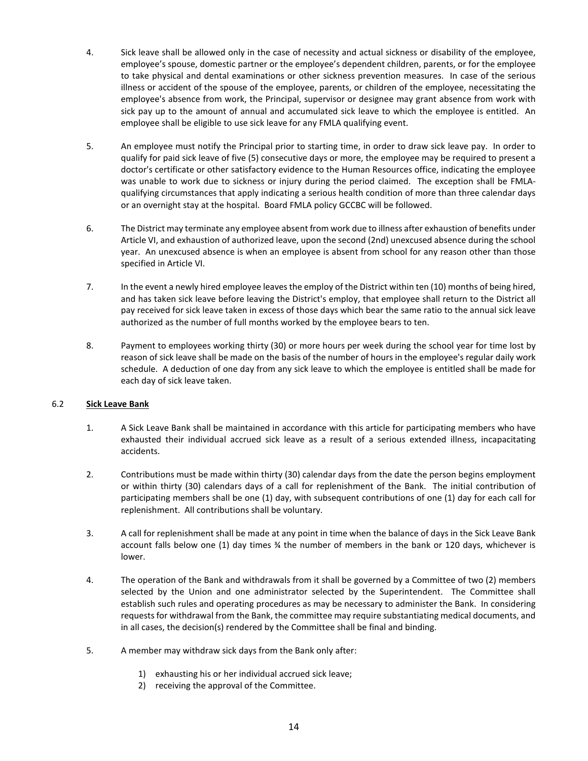- 4. Sick leave shall be allowed only in the case of necessity and actual sickness or disability of the employee, employee's spouse, domestic partner or the employee's dependent children, parents, or for the employee to take physical and dental examinations or other sickness prevention measures. In case of the serious illness or accident of the spouse of the employee, parents, or children of the employee, necessitating the employee's absence from work, the Principal, supervisor or designee may grant absence from work with sick pay up to the amount of annual and accumulated sick leave to which the employee is entitled. An employee shall be eligible to use sick leave for any FMLA qualifying event.
- 5. An employee must notify the Principal prior to starting time, in order to draw sick leave pay. In order to qualify for paid sick leave of five (5) consecutive days or more, the employee may be required to present a doctor's certificate or other satisfactory evidence to the Human Resources office, indicating the employee was unable to work due to sickness or injury during the period claimed. The exception shall be FMLAqualifying circumstances that apply indicating a serious health condition of more than three calendar days or an overnight stay at the hospital. Board FMLA policy GCCBC will be followed.
- 6. The District may terminate any employee absent from work due to illness after exhaustion of benefits under Article VI, and exhaustion of authorized leave, upon the second (2nd) unexcused absence during the school year. An unexcused absence is when an employee is absent from school for any reason other than those specified in Article VI.
- 7. In the event a newly hired employee leaves the employ of the District within ten (10) months of being hired, and has taken sick leave before leaving the District's employ, that employee shall return to the District all pay received for sick leave taken in excess of those days which bear the same ratio to the annual sick leave authorized as the number of full months worked by the employee bears to ten.
- 8. Payment to employees working thirty (30) or more hours per week during the school year for time lost by reason of sick leave shall be made on the basis of the number of hours in the employee's regular daily work schedule. A deduction of one day from any sick leave to which the employee is entitled shall be made for each day of sick leave taken.

# 6.2 **Sick Leave Bank**

- 1. A Sick Leave Bank shall be maintained in accordance with this article for participating members who have exhausted their individual accrued sick leave as a result of a serious extended illness, incapacitating accidents.
- 2. Contributions must be made within thirty (30) calendar days from the date the person begins employment or within thirty (30) calendars days of a call for replenishment of the Bank. The initial contribution of participating members shall be one (1) day, with subsequent contributions of one (1) day for each call for replenishment. All contributions shall be voluntary.
- 3. A call for replenishment shall be made at any point in time when the balance of days in the Sick Leave Bank account falls below one (1) day times  $\frac{3}{4}$  the number of members in the bank or 120 days, whichever is lower.
- 4. The operation of the Bank and withdrawals from it shall be governed by a Committee of two (2) members selected by the Union and one administrator selected by the Superintendent. The Committee shall establish such rules and operating procedures as may be necessary to administer the Bank. In considering requests for withdrawal from the Bank, the committee may require substantiating medical documents, and in all cases, the decision(s) rendered by the Committee shall be final and binding.
- 5. A member may withdraw sick days from the Bank only after:
	- 1) exhausting his or her individual accrued sick leave;
	- 2) receiving the approval of the Committee.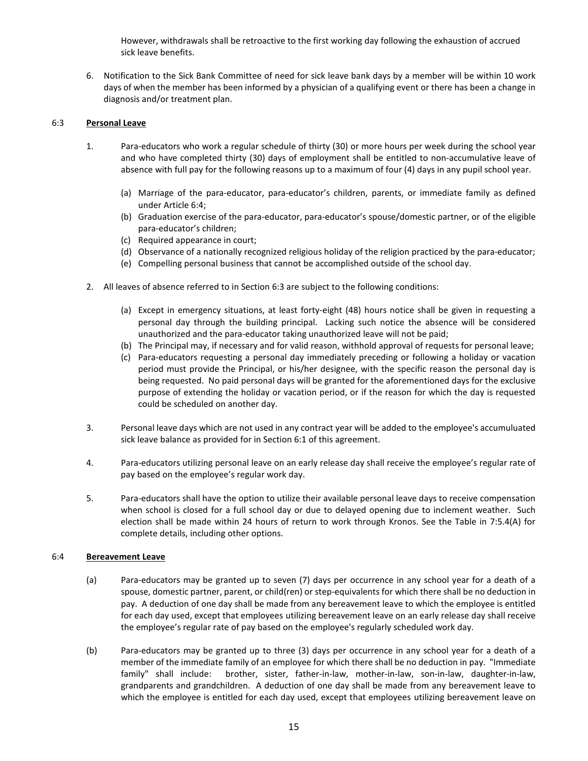However, withdrawals shall be retroactive to the first working day following the exhaustion of accrued sick leave benefits.

6. Notification to the Sick Bank Committee of need for sick leave bank days by a member will be within 10 work days of when the member has been informed by a physician of a qualifying event or there has been a change in diagnosis and/or treatment plan.

# 6:3 **Personal Leave**

- 1. Para-educators who work a regular schedule of thirty (30) or more hours per week during the school year and who have completed thirty (30) days of employment shall be entitled to non-accumulative leave of absence with full pay for the following reasons up to a maximum of four (4) days in any pupil school year.
	- (a) Marriage of the para-educator, para-educator's children, parents, or immediate family as defined under Article 6:4;
	- (b) Graduation exercise of the para-educator, para-educator's spouse/domestic partner, or of the eligible para-educator's children;
	- (c) Required appearance in court;
	- (d) Observance of a nationally recognized religious holiday of the religion practiced by the para-educator;
	- (e) Compelling personal business that cannot be accomplished outside of the school day.
- 2. All leaves of absence referred to in Section 6:3 are subject to the following conditions:
	- (a) Except in emergency situations, at least forty-eight (48) hours notice shall be given in requesting a personal day through the building principal. Lacking such notice the absence will be considered unauthorized and the para-educator taking unauthorized leave will not be paid;
	- (b) The Principal may, if necessary and for valid reason, withhold approval of requests for personal leave;
	- (c) Para-educators requesting a personal day immediately preceding or following a holiday or vacation period must provide the Principal, or his/her designee, with the specific reason the personal day is being requested. No paid personal days will be granted for the aforementioned days for the exclusive purpose of extending the holiday or vacation period, or if the reason for which the day is requested could be scheduled on another day.
- 3. Personal leave days which are not used in any contract year will be added to the employee's accumuluated sick leave balance as provided for in Section 6:1 of this agreement.
- 4. Para-educators utilizing personal leave on an early release day shall receive the employee's regular rate of pay based on the employee's regular work day.
- 5. Para-educators shall have the option to utilize their available personal leave days to receive compensation when school is closed for a full school day or due to delayed opening due to inclement weather. Such election shall be made within 24 hours of return to work through Kronos. See the Table in 7:5.4(A) for complete details, including other options.

# 6:4 **Bereavement Leave**

- (a) Para-educators may be granted up to seven (7) days per occurrence in any school year for a death of a spouse, domestic partner, parent, or child(ren) or step-equivalents for which there shall be no deduction in pay. A deduction of one day shall be made from any bereavement leave to which the employee is entitled for each day used, except that employees utilizing bereavement leave on an early release day shall receive the employee's regular rate of pay based on the employee's regularly scheduled work day.
- (b) Para-educators may be granted up to three (3) days per occurrence in any school year for a death of a member of the immediate family of an employee for which there shall be no deduction in pay. "Immediate family" shall include: brother, sister, father-in-law, mother-in-law, son-in-law, daughter-in-law, grandparents and grandchildren. A deduction of one day shall be made from any bereavement leave to which the employee is entitled for each day used, except that employees utilizing bereavement leave on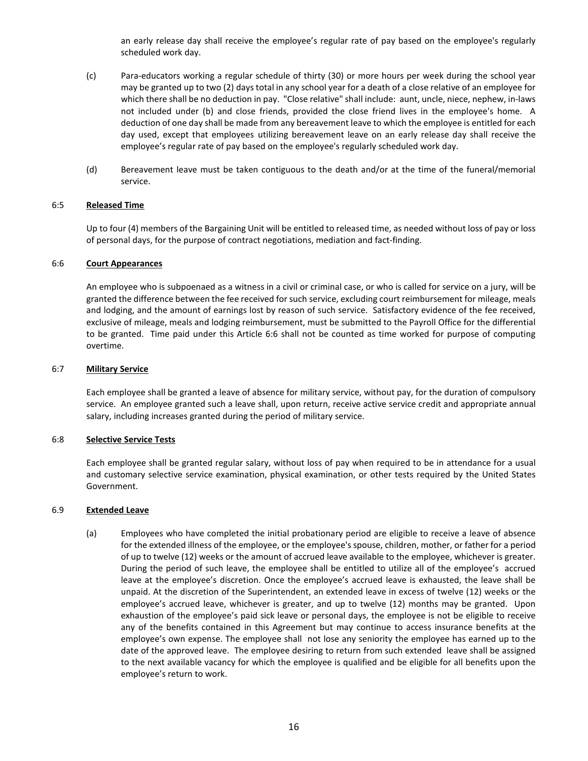an early release day shall receive the employee's regular rate of pay based on the employee's regularly scheduled work day.

- (c) Para-educators working a regular schedule of thirty (30) or more hours per week during the school year may be granted up to two (2) days total in any school year for a death of a close relative of an employee for which there shall be no deduction in pay. "Close relative" shall include: aunt, uncle, niece, nephew, in-laws not included under (b) and close friends, provided the close friend lives in the employee's home. A deduction of one day shall be made from any bereavement leave to which the employee is entitled for each day used, except that employees utilizing bereavement leave on an early release day shall receive the employee's regular rate of pay based on the employee's regularly scheduled work day.
- (d) Bereavement leave must be taken contiguous to the death and/or at the time of the funeral/memorial service.

#### 6:5 **Released Time**

Up to four (4) members of the Bargaining Unit will be entitled to released time, as needed without loss of pay or loss of personal days, for the purpose of contract negotiations, mediation and fact-finding.

### 6:6 **Court Appearances**

An employee who is subpoenaed as a witness in a civil or criminal case, or who is called for service on a jury, will be granted the difference between the fee received for such service, excluding court reimbursement for mileage, meals and lodging, and the amount of earnings lost by reason of such service. Satisfactory evidence of the fee received, exclusive of mileage, meals and lodging reimbursement, must be submitted to the Payroll Office for the differential to be granted. Time paid under this Article 6:6 shall not be counted as time worked for purpose of computing overtime.

#### 6:7 **Military Service**

Each employee shall be granted a leave of absence for military service, without pay, for the duration of compulsory service. An employee granted such a leave shall, upon return, receive active service credit and appropriate annual salary, including increases granted during the period of military service.

#### 6:8 **Selective Service Tests**

Each employee shall be granted regular salary, without loss of pay when required to be in attendance for a usual and customary selective service examination, physical examination, or other tests required by the United States Government.

#### 6.9 **Extended Leave**

(a) Employees who have completed the initial probationary period are eligible to receive a leave of absence for the extended illness of the employee, or the employee's spouse, children, mother, or father for a period of up to twelve (12) weeks or the amount of accrued leave available to the employee, whichever is greater. During the period of such leave, the employee shall be entitled to utilize all of the employee's accrued leave at the employee's discretion. Once the employee's accrued leave is exhausted, the leave shall be unpaid. At the discretion of the Superintendent, an extended leave in excess of twelve (12) weeks or the employee's accrued leave, whichever is greater, and up to twelve (12) months may be granted. Upon exhaustion of the employee's paid sick leave or personal days, the employee is not be eligible to receive any of the benefits contained in this Agreement but may continue to access insurance benefits at the employee's own expense. The employee shall not lose any seniority the employee has earned up to the date of the approved leave. The employee desiring to return from such extended leave shall be assigned to the next available vacancy for which the employee is qualified and be eligible for all benefits upon the employee's return to work.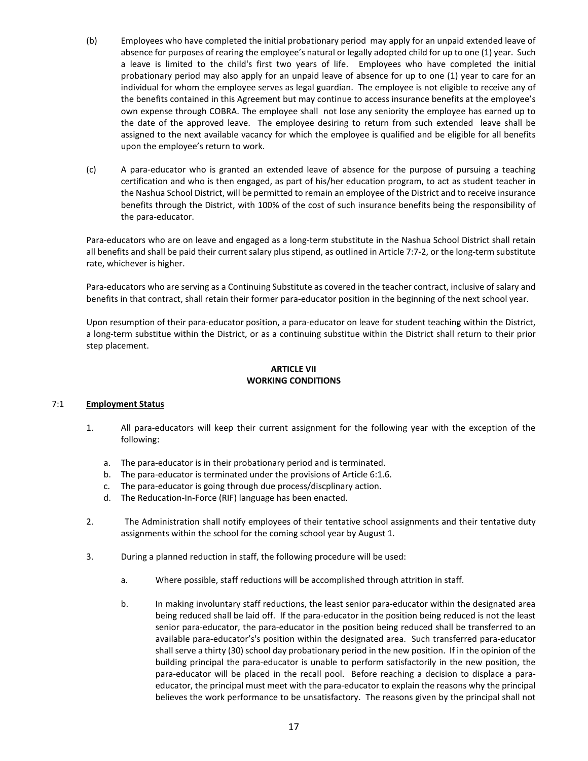- (b) Employees who have completed the initial probationary period may apply for an unpaid extended leave of absence for purposes of rearing the employee's natural or legally adopted child for up to one (1) year. Such a leave is limited to the child's first two years of life. Employees who have completed the initial probationary period may also apply for an unpaid leave of absence for up to one (1) year to care for an individual for whom the employee serves as legal guardian. The employee is not eligible to receive any of the benefits contained in this Agreement but may continue to access insurance benefits at the employee's own expense through COBRA. The employee shall not lose any seniority the employee has earned up to the date of the approved leave. The employee desiring to return from such extended leave shall be assigned to the next available vacancy for which the employee is qualified and be eligible for all benefits upon the employee's return to work.
- (c) A para-educator who is granted an extended leave of absence for the purpose of pursuing a teaching certification and who is then engaged, as part of his/her education program, to act as student teacher in the Nashua School District, will be permitted to remain an employee of the District and to receive insurance benefits through the District, with 100% of the cost of such insurance benefits being the responsibility of the para-educator.

Para-educators who are on leave and engaged as a long-term stubstitute in the Nashua School District shall retain all benefits and shall be paid their current salary plus stipend, as outlined in Article 7:7-2, or the long-term substitute rate, whichever is higher.

Para-educators who are serving as a Continuing Substitute as covered in the teacher contract, inclusive of salary and benefits in that contract, shall retain their former para-educator position in the beginning of the next school year.

Upon resumption of their para-educator position, a para-educator on leave for student teaching within the District, a long-term substitue within the District, or as a continuing substitue within the District shall return to their prior step placement.

# **ARTICLE VII WORKING CONDITIONS**

# 7:1 **Employment Status**

- 1. All para-educators will keep their current assignment for the following year with the exception of the following:
	- a. The para-educator is in their probationary period and is terminated.
	- b. The para-educator is terminated under the provisions of Article 6:1.6.
	- c. The para-educator is going through due process/discplinary action.
	- d. The Reducation-In-Force (RIF) language has been enacted.
- 2. The Administration shall notify employees of their tentative school assignments and their tentative duty assignments within the school for the coming school year by August 1.
- 3. During a planned reduction in staff, the following procedure will be used:
	- a. Where possible, staff reductions will be accomplished through attrition in staff.
	- b. In making involuntary staff reductions, the least senior para-educator within the designated area being reduced shall be laid off. If the para-educator in the position being reduced is not the least senior para-educator, the para-educator in the position being reduced shall be transferred to an available para-educator's's position within the designated area. Such transferred para-educator shall serve a thirty (30) school day probationary period in the new position. If in the opinion of the building principal the para-educator is unable to perform satisfactorily in the new position, the para-educator will be placed in the recall pool. Before reaching a decision to displace a paraeducator, the principal must meet with the para-educator to explain the reasons why the principal believes the work performance to be unsatisfactory. The reasons given by the principal shall not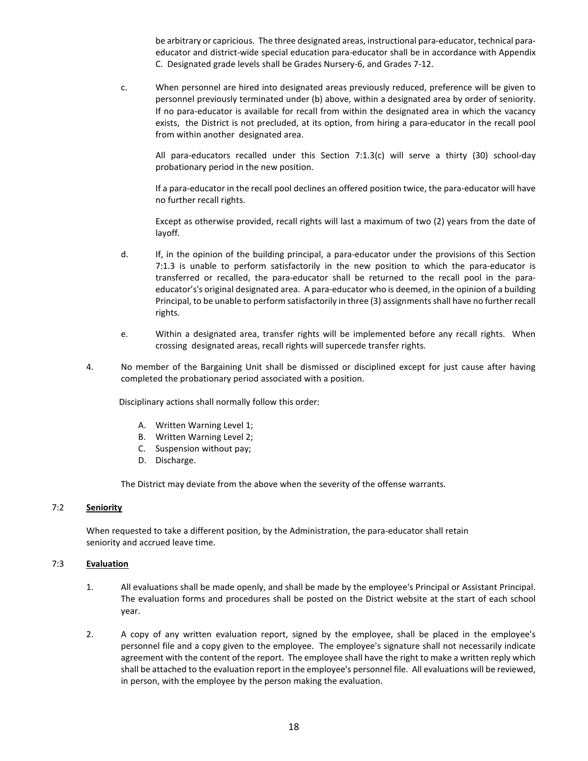be arbitrary or capricious. The three designated areas, instructional para-educator, technical paraeducator and district-wide special education para-educator shall be in accordance with Appendix C. Designated grade levels shall be Grades Nursery-6, and Grades 7-12.

c. When personnel are hired into designated areas previously reduced, preference will be given to personnel previously terminated under (b) above, within a designated area by order of seniority. If no para-educator is available for recall from within the designated area in which the vacancy exists, the District is not precluded, at its option, from hiring a para-educator in the recall pool from within another designated area.

All para-educators recalled under this Section 7:1.3(c) will serve a thirty (30) school-day probationary period in the new position.

If a para-educator in the recall pool declines an offered position twice, the para-educator will have no further recall rights.

Except as otherwise provided, recall rights will last a maximum of two (2) years from the date of layoff.

- d. If, in the opinion of the building principal, a para-educator under the provisions of this Section 7:1.3 is unable to perform satisfactorily in the new position to which the para-educator is transferred or recalled, the para-educator shall be returned to the recall pool in the paraeducator's's original designated area. A para-educator who is deemed, in the opinion of a building Principal, to be unable to perform satisfactorily in three (3) assignmentsshall have no further recall rights.
- e. Within a designated area, transfer rights will be implemented before any recall rights. When crossing designated areas, recall rights will supercede transfer rights.
- 4. No member of the Bargaining Unit shall be dismissed or disciplined except for just cause after having completed the probationary period associated with a position.

Disciplinary actions shall normally follow this order:

- A. Written Warning Level 1;
- B. Written Warning Level 2;
- C. Suspension without pay;
- D. Discharge.

The District may deviate from the above when the severity of the offense warrants.

# 7:2 **Seniority**

When requested to take a different position, by the Administration, the para-educator shall retain seniority and accrued leave time.

#### 7:3 **Evaluation**

- 1. All evaluations shall be made openly, and shall be made by the employee's Principal or Assistant Principal. The evaluation forms and procedures shall be posted on the District website at the start of each school year.
- 2. A copy of any written evaluation report, signed by the employee, shall be placed in the employee's personnel file and a copy given to the employee. The employee's signature shall not necessarily indicate agreement with the content of the report. The employee shall have the right to make a written reply which shall be attached to the evaluation report in the employee's personnel file. All evaluations will be reviewed, in person, with the employee by the person making the evaluation.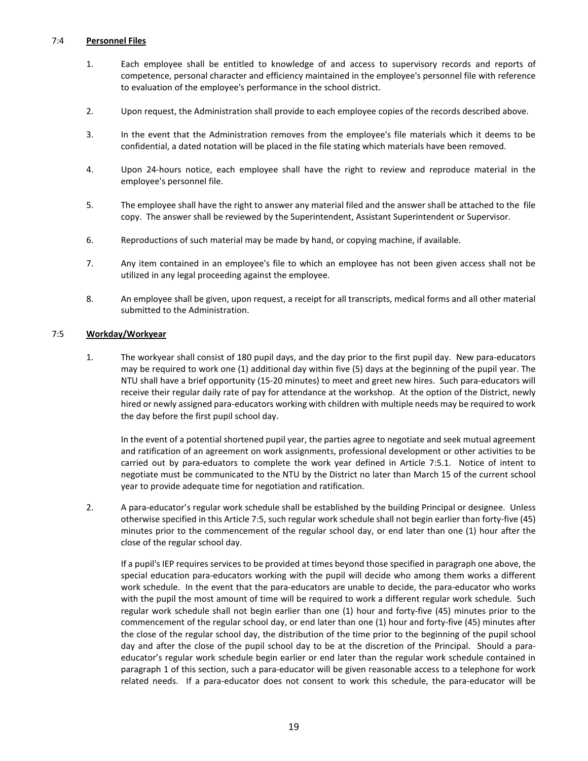## 7:4 **Personnel Files**

- 1. Each employee shall be entitled to knowledge of and access to supervisory records and reports of competence, personal character and efficiency maintained in the employee's personnel file with reference to evaluation of the employee's performance in the school district.
- 2. Upon request, the Administration shall provide to each employee copies of the records described above.
- 3. In the event that the Administration removes from the employee's file materials which it deems to be confidential, a dated notation will be placed in the file stating which materials have been removed.
- 4. Upon 24-hours notice, each employee shall have the right to review and reproduce material in the employee's personnel file.
- 5. The employee shall have the right to answer any material filed and the answer shall be attached to the file copy. The answer shall be reviewed by the Superintendent, Assistant Superintendent or Supervisor.
- 6. Reproductions of such material may be made by hand, or copying machine, if available.
- 7. Any item contained in an employee's file to which an employee has not been given access shall not be utilized in any legal proceeding against the employee.
- 8. An employee shall be given, upon request, a receipt for all transcripts, medical forms and all other material submitted to the Administration.

### 7:5 **Workday/Workyear**

1. The workyear shall consist of 180 pupil days, and the day prior to the first pupil day. New para-educators may be required to work one (1) additional day within five (5) days at the beginning of the pupil year. The NTU shall have a brief opportunity (15-20 minutes) to meet and greet new hires. Such para-educators will receive their regular daily rate of pay for attendance at the workshop. At the option of the District, newly hired or newly assigned para-educators working with children with multiple needs may be required to work the day before the first pupil school day.

In the event of a potential shortened pupil year, the parties agree to negotiate and seek mutual agreement and ratification of an agreement on work assignments, professional development or other activities to be carried out by para-eduators to complete the work year defined in Article 7:5.1. Notice of intent to negotiate must be communicated to the NTU by the District no later than March 15 of the current school year to provide adequate time for negotiation and ratification.

2. A para-educator's regular work schedule shall be established by the building Principal or designee. Unless otherwise specified in this Article 7:5, such regular work schedule shall not begin earlier than forty-five (45) minutes prior to the commencement of the regular school day, or end later than one (1) hour after the close of the regular school day.

If a pupil's IEP requires services to be provided at times beyond those specified in paragraph one above, the special education para-educators working with the pupil will decide who among them works a different work schedule. In the event that the para-educators are unable to decide, the para-educator who works with the pupil the most amount of time will be required to work a different regular work schedule.Such regular work schedule shall not begin earlier than one (1) hour and forty-five (45) minutes prior to the commencement of the regular school day, or end later than one (1) hour and forty-five (45) minutes after the close of the regular school day, the distribution of the time prior to the beginning of the pupil school day and after the close of the pupil school day to be at the discretion of the Principal. Should a paraeducator's regular work schedule begin earlier or end later than the regular work schedule contained in paragraph 1 of this section, such a para-educator will be given reasonable access to a telephone for work related needs. If a para-educator does not consent to work this schedule, the para-educator will be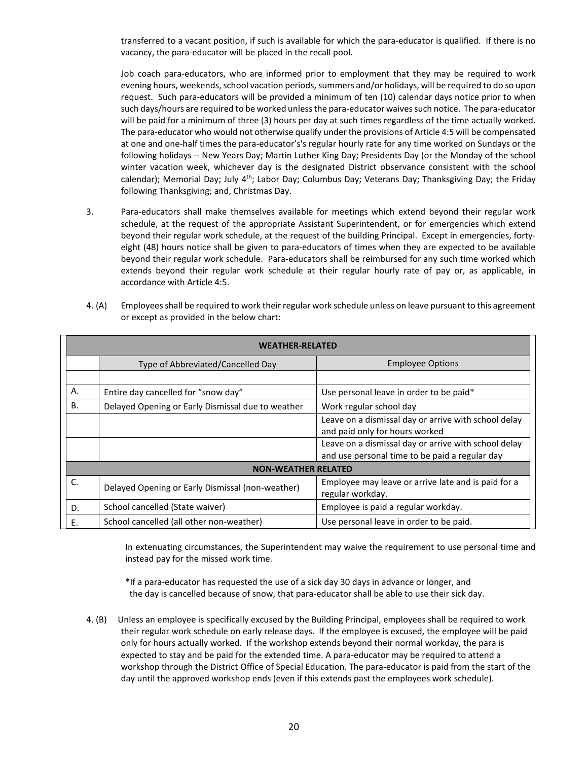transferred to a vacant position, if such is available for which the para-educator is qualified. If there is no vacancy, the para-educator will be placed in the recall pool.

Job coach para-educators, who are informed prior to employment that they may be required to work evening hours, weekends, school vacation periods, summers and/or holidays, will be required to do so upon request. Such para-educators will be provided a minimum of ten (10) calendar days notice prior to when such days/hours are required to be worked unless the para-educator waives such notice. The para-educator will be paid for a minimum of three (3) hours per day at such times regardless of the time actually worked. The para-educator who would not otherwise qualify under the provisions of Article 4:5 will be compensated at one and one-half times the para-educator's's regular hourly rate for any time worked on Sundays or the following holidays -- New Years Day; Martin Luther King Day; Presidents Day (or the Monday of the school winter vacation week, whichever day is the designated District observance consistent with the school calendar); Memorial Day; July  $4<sup>th</sup>$ ; Labor Day; Columbus Day; Veterans Day; Thanksgiving Day; the Friday following Thanksgiving; and, Christmas Day.

- 3. Para-educators shall make themselves available for meetings which extend beyond their regular work schedule, at the request of the appropriate Assistant Superintendent, or for emergencies which extend beyond their regular work schedule, at the request of the building Principal. Except in emergencies, fortyeight (48) hours notice shall be given to para-educators of times when they are expected to be available beyond their regular work schedule. Para-educators shall be reimbursed for any such time worked which extends beyond their regular work schedule at their regular hourly rate of pay or, as applicable, in accordance with Article 4:5.
- 4. (A) Employees shall be required to work their regular work schedule unless on leave pursuant to this agreement or except as provided in the below chart:

|           | <b>WEATHER-RELATED</b>                            |                                                                                                        |  |  |  |  |  |  |  |
|-----------|---------------------------------------------------|--------------------------------------------------------------------------------------------------------|--|--|--|--|--|--|--|
|           | Type of Abbreviated/Cancelled Day                 | <b>Employee Options</b>                                                                                |  |  |  |  |  |  |  |
|           |                                                   |                                                                                                        |  |  |  |  |  |  |  |
| А.        | Entire day cancelled for "snow day"               | Use personal leave in order to be paid*                                                                |  |  |  |  |  |  |  |
| <b>B.</b> | Delayed Opening or Early Dismissal due to weather | Work regular school day                                                                                |  |  |  |  |  |  |  |
|           |                                                   | Leave on a dismissal day or arrive with school delay<br>and paid only for hours worked                 |  |  |  |  |  |  |  |
|           |                                                   | Leave on a dismissal day or arrive with school delay<br>and use personal time to be paid a regular day |  |  |  |  |  |  |  |
|           | <b>NON-WEATHER RELATED</b>                        |                                                                                                        |  |  |  |  |  |  |  |
| C.        | Delayed Opening or Early Dismissal (non-weather)  | Employee may leave or arrive late and is paid for a<br>regular workday.                                |  |  |  |  |  |  |  |
| D.        | School cancelled (State waiver)                   | Employee is paid a regular workday.                                                                    |  |  |  |  |  |  |  |
| Ε.        | School cancelled (all other non-weather)          | Use personal leave in order to be paid.                                                                |  |  |  |  |  |  |  |

In extenuating circumstances, the Superintendent may waive the requirement to use personal time and instead pay for the missed work time.

\*If a para-educator has requested the use of a sick day 30 days in advance or longer, and the day is cancelled because of snow, that para-educator shall be able to use their sick day.

4. (B) Unless an employee is specifically excused by the Building Principal, employees shall be required to work their regular work schedule on early release days. If the employee is excused, the employee will be paid only for hours actually worked. If the workshop extends beyond their normal workday, the para is expected to stay and be paid for the extended time. A para-educator may be required to attend a workshop through the District Office of Special Education. The para-educator is paid from the start of the day until the approved workshop ends (even if this extends past the employees work schedule).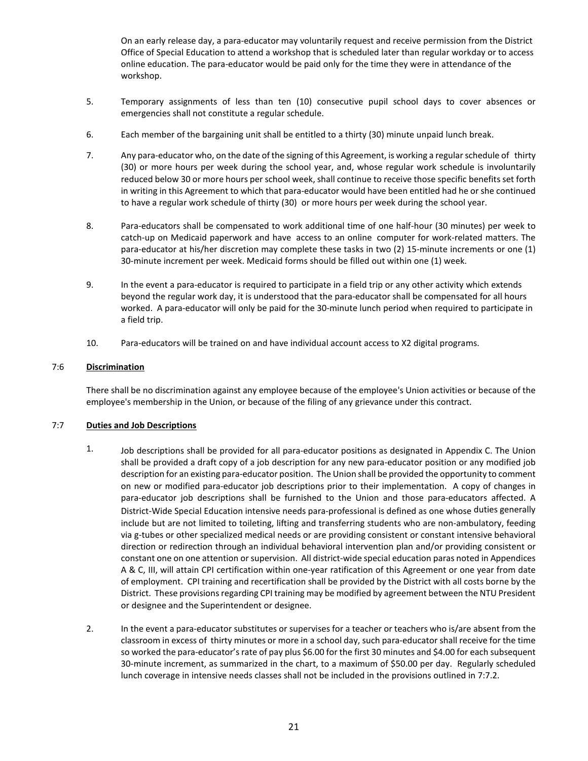On an early release day, a para-educator may voluntarily request and receive permission from the District Office of Special Education to attend a workshop that is scheduled later than regular workday or to access online education. The para-educator would be paid only for the time they were in attendance of the workshop.

- 5. Temporary assignments of less than ten (10) consecutive pupil school days to cover absences or emergencies shall not constitute a regular schedule.
- 6. Each member of the bargaining unit shall be entitled to a thirty (30) minute unpaid lunch break.
- 7. Any para-educator who, on the date of the signing of this Agreement, is working a regular schedule of thirty (30) or more hours per week during the school year, and, whose regular work schedule is involuntarily reduced below 30 or more hours per school week, shall continue to receive those specific benefits set forth in writing in this Agreement to which that para-educator would have been entitled had he or she continued to have a regular work schedule of thirty (30) or more hours per week during the school year.
- 8. Para-educators shall be compensated to work additional time of one half-hour (30 minutes) per week to catch-up on Medicaid paperwork and have access to an online computer for work-related matters. The para-educator at his/her discretion may complete these tasks in two (2) 15-minute increments or one (1) 30-minute increment per week. Medicaid forms should be filled out within one (1) week.
- 9. In the event a para-educator is required to participate in a field trip or any other activity which extends beyond the regular work day, it is understood that the para-educator shall be compensated for all hours worked. A para-educator will only be paid for the 30-minute lunch period when required to participate in a field trip.
- 10. Para-educators will be trained on and have individual account access to X2 digital programs.

# 7:6 **Discrimination**

There shall be no discrimination against any employee because of the employee's Union activities or because of the employee's membership in the Union, or because of the filing of any grievance under this contract.

# 7:7 **Duties and Job Descriptions**

- 1. Job descriptions shall be provided for all para-educator positions as designated in Appendix C. The Union shall be provided a draft copy of a job description for any new para-educator position or any modified job description for an existing para-educator position. The Union shall be provided the opportunity to comment on new or modified para-educator job descriptions prior to their implementation. A copy of changes in para-educator job descriptions shall be furnished to the Union and those para-educators affected. A District-Wide Special Education intensive needs para-professional is defined as one whose duties generally include but are not limited to toileting, lifting and transferring students who are non-ambulatory, feeding via g-tubes or other specialized medical needs or are providing consistent or constant intensive behavioral direction or redirection through an individual behavioral intervention plan and/or providing consistent or constant one on one attention or supervision. All district-wide special education paras noted in Appendices A & C, III, will attain CPI certification within one-year ratification of this Agreement or one year from date of employment. CPI training and recertification shall be provided by the District with all costs borne by the District. These provisions regarding CPI training may be modified by agreement between the NTU President or designee and the Superintendent or designee.
- 2. In the event a para-educator substitutes or supervises for a teacher or teachers who is/are absent from the classroom in excess of thirty minutes or more in a school day, such para-educator shall receive for the time so worked the para-educator's rate of pay plus \$6.00 for the first 30 minutes and \$4.00 for each subsequent 30-minute increment, as summarized in the chart, to a maximum of \$50.00 per day. Regularly scheduled lunch coverage in intensive needs classes shall not be included in the provisions outlined in 7:7.2.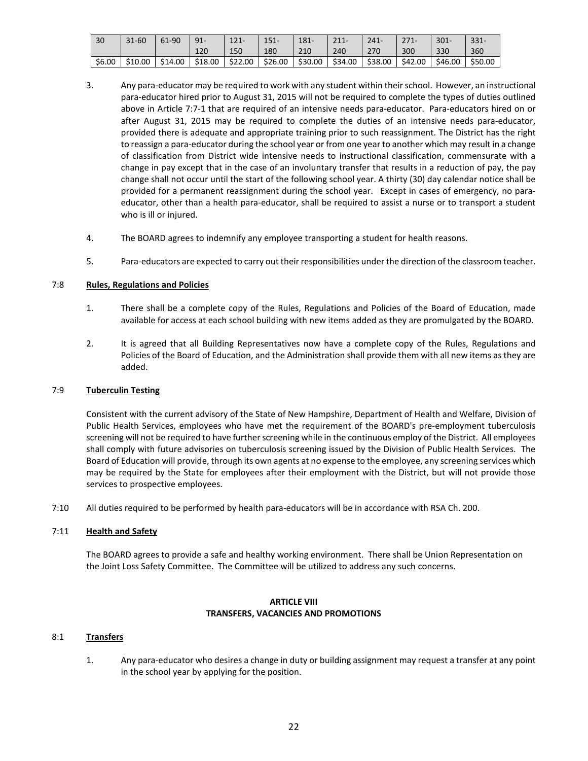| 30     | $31 - 60$ | 61-90   | $91 -$  | $121 -$ | $151 -$ | 181-    | $211 -$ | $241 -$ | $271-$  | $301 -$ | $331 -$ |
|--------|-----------|---------|---------|---------|---------|---------|---------|---------|---------|---------|---------|
|        |           |         | 120     | 150     | 180     | 210     | 240     | 270     | 300     | 330     | 360     |
| \$6.00 | \$10.00   | \$14.00 | \$18.00 | \$22.00 | \$26.00 | \$30.00 | \$34.00 | \$38.00 | \$42.00 | \$46.00 | \$50.00 |

- 3. Any para-educator may be required to work with any student within their school. However, an instructional para-educator hired prior to August 31, 2015 will not be required to complete the types of duties outlined above in Article 7:7-1 that are required of an intensive needs para-educator. Para-educators hired on or after August 31, 2015 may be required to complete the duties of an intensive needs para-educator, provided there is adequate and appropriate training prior to such reassignment. The District has the right to reassign a para-educator during the school year or from one year to another which may result in a change of classification from District wide intensive needs to instructional classification, commensurate with a change in pay except that in the case of an involuntary transfer that results in a reduction of pay, the pay change shall not occur until the start of the following school year. A thirty (30) day calendar notice shall be provided for a permanent reassignment during the school year. Except in cases of emergency, no paraeducator, other than a health para-educator, shall be required to assist a nurse or to transport a student who is ill or injured.
- 4. The BOARD agrees to indemnify any employee transporting a student for health reasons.
- 5. Para-educators are expected to carry out their responsibilities under the direction of the classroom teacher.

# 7:8 **Rules, Regulations and Policies**

- 1. There shall be a complete copy of the Rules, Regulations and Policies of the Board of Education, made available for access at each school building with new items added as they are promulgated by the BOARD.
- 2. It is agreed that all Building Representatives now have a complete copy of the Rules, Regulations and Policies of the Board of Education, and the Administration shall provide them with all new items as they are added.

#### 7:9 **Tuberculin Testing**

Consistent with the current advisory of the State of New Hampshire, Department of Health and Welfare, Division of Public Health Services, employees who have met the requirement of the BOARD's pre-employment tuberculosis screening will not be required to have further screening while in the continuous employ of the District. All employees shall comply with future advisories on tuberculosis screening issued by the Division of Public Health Services. The Board of Education will provide, through its own agents at no expense to the employee, any screening services which may be required by the State for employees after their employment with the District, but will not provide those services to prospective employees.

7:10 All duties required to be performed by health para-educators will be in accordance with RSA Ch. 200.

#### 7:11 **Health and Safety**

The BOARD agrees to provide a safe and healthy working environment. There shall be Union Representation on the Joint Loss Safety Committee. The Committee will be utilized to address any such concerns.

# **ARTICLE VIII TRANSFERS, VACANCIES AND PROMOTIONS**

#### 8:1 **Transfers**

1. Any para-educator who desires a change in duty or building assignment may request a transfer at any point in the school year by applying for the position.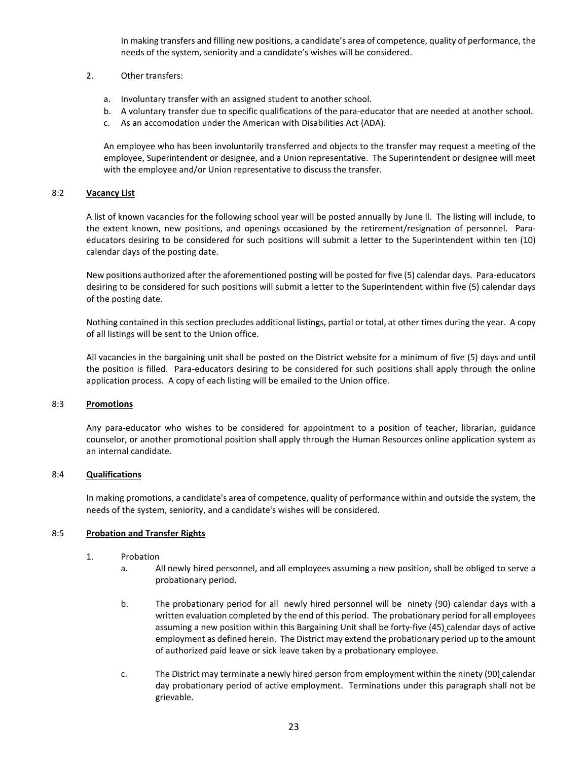In making transfers and filling new positions, a candidate's area of competence, quality of performance, the needs of the system, seniority and a candidate's wishes will be considered.

- 2. Other transfers:
	- a. Involuntary transfer with an assigned student to another school.
	- b. A voluntary transfer due to specific qualifications of the para-educator that are needed at another school.
	- c. As an accomodation under the American with Disabilities Act (ADA).

An employee who has been involuntarily transferred and objects to the transfer may request a meeting of the employee, Superintendent or designee, and a Union representative. The Superintendent or designee will meet with the employee and/or Union representative to discuss the transfer.

### 8:2 **Vacancy List**

A list of known vacancies for the following school year will be posted annually by June ll. The listing will include, to the extent known, new positions, and openings occasioned by the retirement/resignation of personnel. Paraeducators desiring to be considered for such positions will submit a letter to the Superintendent within ten (10) calendar days of the posting date.

New positions authorized after the aforementioned posting will be posted for five (5) calendar days. Para-educators desiring to be considered for such positions will submit a letter to the Superintendent within five (5) calendar days of the posting date.

Nothing contained in this section precludes additional listings, partial or total, at other times during the year. A copy of all listings will be sent to the Union office.

All vacancies in the bargaining unit shall be posted on the District website for a minimum of five (5) days and until the position is filled. Para-educators desiring to be considered for such positions shall apply through the online application process. A copy of each listing will be emailed to the Union office.

#### 8:3 **Promotions**

Any para-educator who wishes to be considered for appointment to a position of teacher, librarian, guidance counselor, or another promotional position shall apply through the Human Resources online application system as an internal candidate.

#### 8:4 **Qualifications**

In making promotions, a candidate's area of competence, quality of performance within and outside the system, the needs of the system, seniority, and a candidate's wishes will be considered.

## 8:5 **Probation and Transfer Rights**

- 1. Probation
	- a. All newly hired personnel, and all employees assuming a new position, shall be obliged to serve a probationary period.
	- b. The probationary period for all newly hired personnel will be ninety (90) calendar days with a written evaluation completed by the end of this period. The probationary period for all employees assuming a new position within this Bargaining Unit shall be forty-five (45) calendar days of active employment as defined herein. The District may extend the probationary period up to the amount of authorized paid leave or sick leave taken by a probationary employee.
	- c. The District may terminate a newly hired person from employment within the ninety (90) calendar day probationary period of active employment. Terminations under this paragraph shall not be grievable.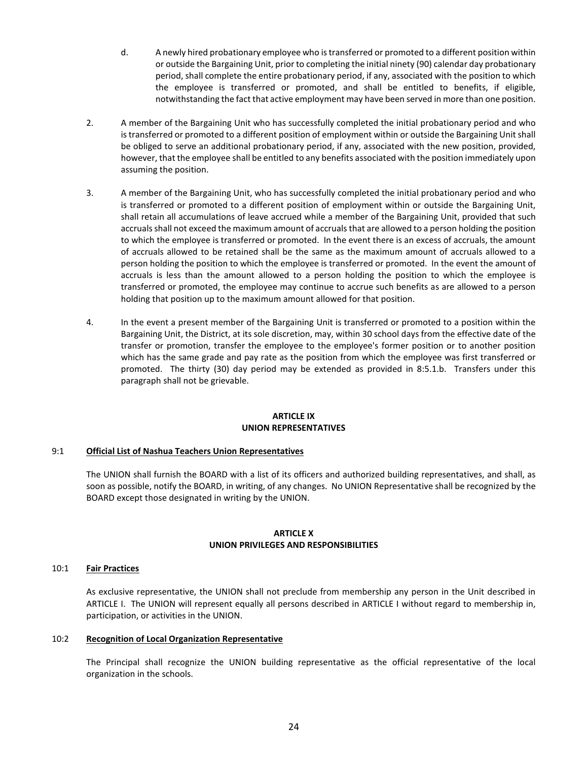- d. A newly hired probationary employee who is transferred or promoted to a different position within or outside the Bargaining Unit, prior to completing the initial ninety (90) calendar day probationary period, shall complete the entire probationary period, if any, associated with the position to which the employee is transferred or promoted, and shall be entitled to benefits, if eligible, notwithstanding the fact that active employment may have been served in more than one position.
- 2. A member of the Bargaining Unit who has successfully completed the initial probationary period and who is transferred or promoted to a different position of employment within or outside the Bargaining Unit shall be obliged to serve an additional probationary period, if any, associated with the new position, provided, however, that the employee shall be entitled to any benefits associated with the position immediately upon assuming the position.
- 3. A member of the Bargaining Unit, who has successfully completed the initial probationary period and who is transferred or promoted to a different position of employment within or outside the Bargaining Unit, shall retain all accumulations of leave accrued while a member of the Bargaining Unit, provided that such accruals shall not exceed the maximum amount of accruals that are allowed to a person holding the position to which the employee is transferred or promoted. In the event there is an excess of accruals, the amount of accruals allowed to be retained shall be the same as the maximum amount of accruals allowed to a person holding the position to which the employee is transferred or promoted. In the event the amount of accruals is less than the amount allowed to a person holding the position to which the employee is transferred or promoted, the employee may continue to accrue such benefits as are allowed to a person holding that position up to the maximum amount allowed for that position.
- 4. In the event a present member of the Bargaining Unit is transferred or promoted to a position within the Bargaining Unit, the District, at its sole discretion, may, within 30 school days from the effective date of the transfer or promotion, transfer the employee to the employee's former position or to another position which has the same grade and pay rate as the position from which the employee was first transferred or promoted. The thirty (30) day period may be extended as provided in 8:5.1.b. Transfers under this paragraph shall not be grievable.

### **ARTICLE IX UNION REPRESENTATIVES**

# 9:1 **Official List of Nashua Teachers Union Representatives**

The UNION shall furnish the BOARD with a list of its officers and authorized building representatives, and shall, as soon as possible, notify the BOARD, in writing, of any changes. No UNION Representative shall be recognized by the BOARD except those designated in writing by the UNION.

### **ARTICLE X UNION PRIVILEGES AND RESPONSIBILITIES**

#### 10:1 **Fair Practices**

As exclusive representative, the UNION shall not preclude from membership any person in the Unit described in ARTICLE I. The UNION will represent equally all persons described in ARTICLE I without regard to membership in, participation, or activities in the UNION.

#### 10:2 **Recognition of Local Organization Representative**

The Principal shall recognize the UNION building representative as the official representative of the local organization in the schools.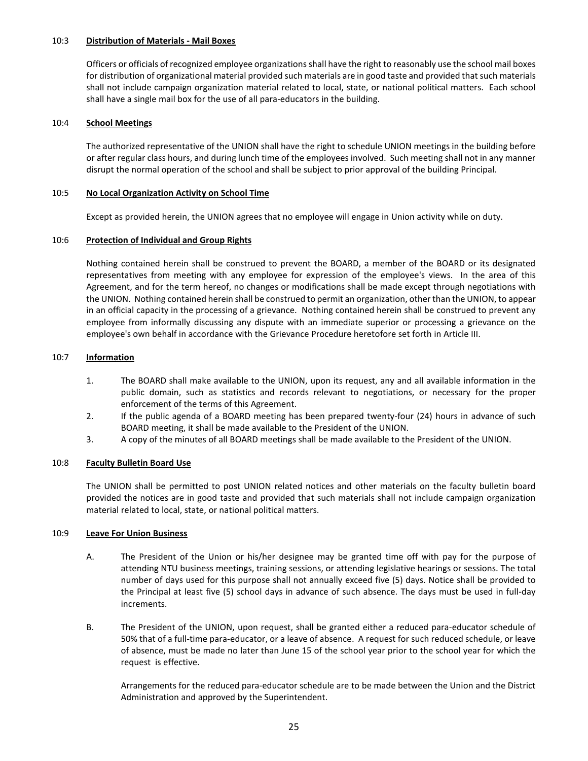#### 10:3 **Distribution of Materials - Mail Boxes**

Officers or officials of recognized employee organizations shall have the right to reasonably use the school mail boxes for distribution of organizational material provided such materials are in good taste and provided that such materials shall not include campaign organization material related to local, state, or national political matters. Each school shall have a single mail box for the use of all para-educators in the building.

#### 10:4 **School Meetings**

The authorized representative of the UNION shall have the right to schedule UNION meetings in the building before or after regular class hours, and during lunch time of the employees involved. Such meeting shall not in any manner disrupt the normal operation of the school and shall be subject to prior approval of the building Principal.

## 10:5 **No Local Organization Activity on School Time**

Except as provided herein, the UNION agrees that no employee will engage in Union activity while on duty.

### 10:6 **Protection of Individual and Group Rights**

Nothing contained herein shall be construed to prevent the BOARD, a member of the BOARD or its designated representatives from meeting with any employee for expression of the employee's views. In the area of this Agreement, and for the term hereof, no changes or modifications shall be made except through negotiations with the UNION. Nothing contained herein shall be construed to permit an organization, other than the UNION, to appear in an official capacity in the processing of a grievance. Nothing contained herein shall be construed to prevent any employee from informally discussing any dispute with an immediate superior or processing a grievance on the employee's own behalf in accordance with the Grievance Procedure heretofore set forth in Article III.

### 10:7 **Information**

- 1. The BOARD shall make available to the UNION, upon its request, any and all available information in the public domain, such as statistics and records relevant to negotiations, or necessary for the proper enforcement of the terms of this Agreement.
- 2. If the public agenda of a BOARD meeting has been prepared twenty-four (24) hours in advance of such BOARD meeting, it shall be made available to the President of the UNION.
- 3. A copy of the minutes of all BOARD meetings shall be made available to the President of the UNION.

#### 10:8 **Faculty Bulletin Board Use**

The UNION shall be permitted to post UNION related notices and other materials on the faculty bulletin board provided the notices are in good taste and provided that such materials shall not include campaign organization material related to local, state, or national political matters.

# 10:9 **Leave For Union Business**

- A. The President of the Union or his/her designee may be granted time off with pay for the purpose of attending NTU business meetings, training sessions, or attending legislative hearings or sessions. The total number of days used for this purpose shall not annually exceed five (5) days. Notice shall be provided to the Principal at least five (5) school days in advance of such absence. The days must be used in full-day increments.
- B. The President of the UNION, upon request, shall be granted either a reduced para-educator schedule of 50% that of a full-time para-educator, or a leave of absence. A request for such reduced schedule, or leave of absence, must be made no later than June 15 of the school year prior to the school year for which the request is effective.

Arrangements for the reduced para-educator schedule are to be made between the Union and the District Administration and approved by the Superintendent.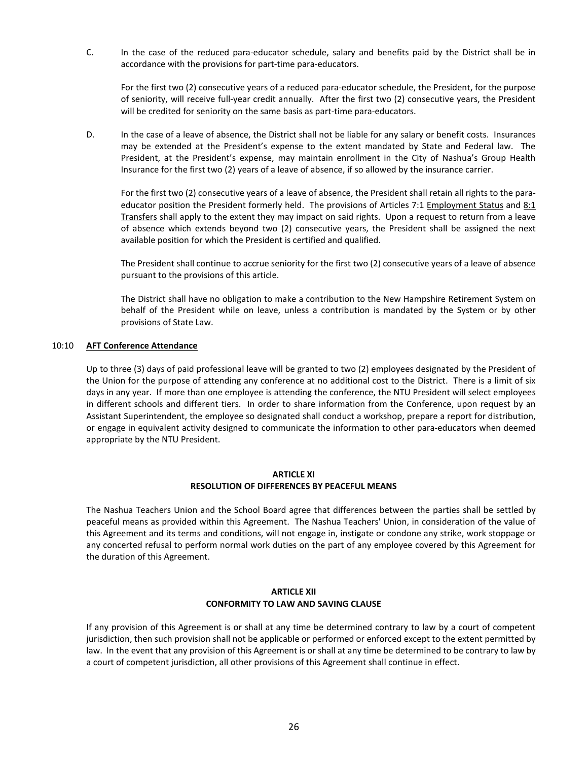C. In the case of the reduced para-educator schedule, salary and benefits paid by the District shall be in accordance with the provisions for part-time para-educators.

For the first two (2) consecutive years of a reduced para-educator schedule, the President, for the purpose of seniority, will receive full-year credit annually. After the first two (2) consecutive years, the President will be credited for seniority on the same basis as part-time para-educators.

D. In the case of a leave of absence, the District shall not be liable for any salary or benefit costs. Insurances may be extended at the President's expense to the extent mandated by State and Federal law. The President, at the President's expense, may maintain enrollment in the City of Nashua's Group Health Insurance for the first two (2) years of a leave of absence, if so allowed by the insurance carrier.

For the first two (2) consecutive years of a leave of absence, the President shall retain all rights to the paraeducator position the President formerly held. The provisions of Articles 7:1 Employment Status and 8:1 Transfers shall apply to the extent they may impact on said rights. Upon a request to return from a leave of absence which extends beyond two (2) consecutive years, the President shall be assigned the next available position for which the President is certified and qualified.

The President shall continue to accrue seniority for the first two (2) consecutive years of a leave of absence pursuant to the provisions of this article.

The District shall have no obligation to make a contribution to the New Hampshire Retirement System on behalf of the President while on leave, unless a contribution is mandated by the System or by other provisions of State Law.

### 10:10 **AFT Conference Attendance**

Up to three (3) days of paid professional leave will be granted to two (2) employees designated by the President of the Union for the purpose of attending any conference at no additional cost to the District. There is a limit of six days in any year. If more than one employee is attending the conference, the NTU President will select employees in different schools and different tiers. In order to share information from the Conference, upon request by an Assistant Superintendent, the employee so designated shall conduct a workshop, prepare a report for distribution, or engage in equivalent activity designed to communicate the information to other para-educators when deemed appropriate by the NTU President.

### **ARTICLE XI RESOLUTION OF DIFFERENCES BY PEACEFUL MEANS**

The Nashua Teachers Union and the School Board agree that differences between the parties shall be settled by peaceful means as provided within this Agreement. The Nashua Teachers' Union, in consideration of the value of this Agreement and its terms and conditions, will not engage in, instigate or condone any strike, work stoppage or any concerted refusal to perform normal work duties on the part of any employee covered by this Agreement for the duration of this Agreement.

### **ARTICLE XII CONFORMITY TO LAW AND SAVING CLAUSE**

If any provision of this Agreement is or shall at any time be determined contrary to law by a court of competent jurisdiction, then such provision shall not be applicable or performed or enforced except to the extent permitted by law. In the event that any provision of this Agreement is or shall at any time be determined to be contrary to law by a court of competent jurisdiction, all other provisions of this Agreement shall continue in effect.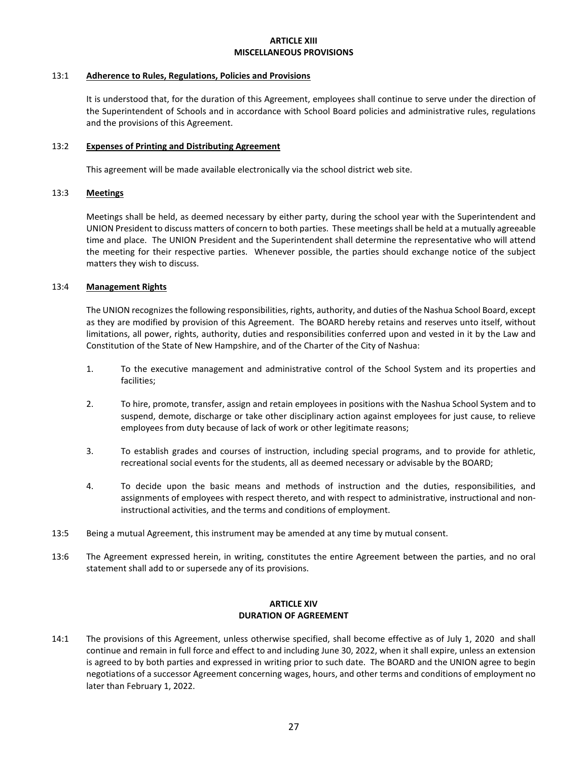#### **ARTICLE XIII MISCELLANEOUS PROVISIONS**

#### 13:1 **Adherence to Rules, Regulations, Policies and Provisions**

It is understood that, for the duration of this Agreement, employees shall continue to serve under the direction of the Superintendent of Schools and in accordance with School Board policies and administrative rules, regulations and the provisions of this Agreement.

# 13:2 **Expenses of Printing and Distributing Agreement**

This agreement will be made available electronically via the school district web site.

### 13:3 **Meetings**

Meetings shall be held, as deemed necessary by either party, during the school year with the Superintendent and UNION President to discuss matters of concern to both parties. These meetings shall be held at a mutually agreeable time and place. The UNION President and the Superintendent shall determine the representative who will attend the meeting for their respective parties. Whenever possible, the parties should exchange notice of the subject matters they wish to discuss.

### 13:4 **Management Rights**

The UNION recognizes the following responsibilities, rights, authority, and duties of the Nashua School Board, except as they are modified by provision of this Agreement. The BOARD hereby retains and reserves unto itself, without limitations, all power, rights, authority, duties and responsibilities conferred upon and vested in it by the Law and Constitution of the State of New Hampshire, and of the Charter of the City of Nashua:

- 1. To the executive management and administrative control of the School System and its properties and facilities;
- 2. To hire, promote, transfer, assign and retain employees in positions with the Nashua School System and to suspend, demote, discharge or take other disciplinary action against employees for just cause, to relieve employees from duty because of lack of work or other legitimate reasons;
- 3. To establish grades and courses of instruction, including special programs, and to provide for athletic, recreational social events for the students, all as deemed necessary or advisable by the BOARD;
- 4. To decide upon the basic means and methods of instruction and the duties, responsibilities, and assignments of employees with respect thereto, and with respect to administrative, instructional and noninstructional activities, and the terms and conditions of employment.
- 13:5 Being a mutual Agreement, this instrument may be amended at any time by mutual consent.
- 13:6 The Agreement expressed herein, in writing, constitutes the entire Agreement between the parties, and no oral statement shall add to or supersede any of its provisions.

# **ARTICLE XIV DURATION OF AGREEMENT**

14:1 The provisions of this Agreement, unless otherwise specified, shall become effective as of July 1, 2020 and shall continue and remain in full force and effect to and including June 30, 2022, when it shall expire, unless an extension is agreed to by both parties and expressed in writing prior to such date. The BOARD and the UNION agree to begin negotiations of a successor Agreement concerning wages, hours, and other terms and conditions of employment no later than February 1, 2022.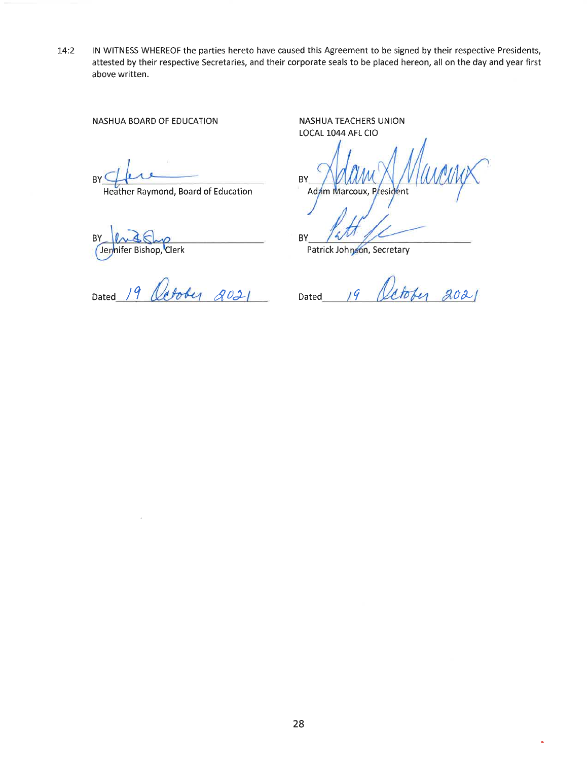$14:2$ IN WITNESS WHEREOF the parties hereto have caused this Agreement to be signed by their respective Presidents, attested by their respective Secretaries, and their corporate seals to be placed hereon, all on the day and year first above written.

NASHUA BOARD OF EDUCATION

BY<sup>C</sup>

Heather Raymond, Board of Education

**BY** Jennifer Bishop, Clerk

Dated\_  $2021$ 

NASHUA TEACHERS UNION LOCAL 1044 AFL CIO

BY Adam Marcoux, President

BY

Patrick Johnson, Secretary

 $2021$ Dated

×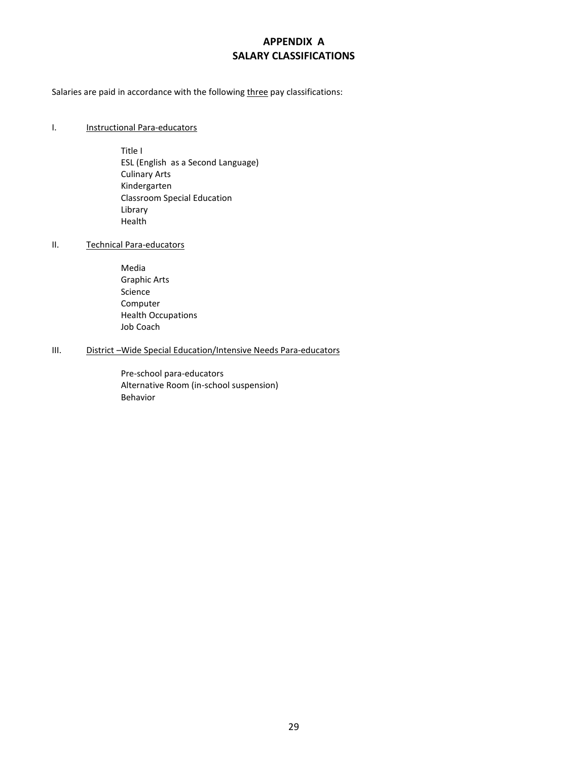# **APPENDIX A SALARY CLASSIFICATIONS**

Salaries are paid in accordance with the following three pay classifications:

# I. **Instructional Para-educators**

Title I ESL (English as a Second Language) Culinary Arts Kindergarten Classroom Special Education Library Health

# II. Technical Para-educators

Media Graphic Arts Science Computer Health Occupations Job Coach

#### III. District –Wide Special Education/Intensive Needs Para-educators

Pre-school para-educators Alternative Room (in-school suspension) Behavior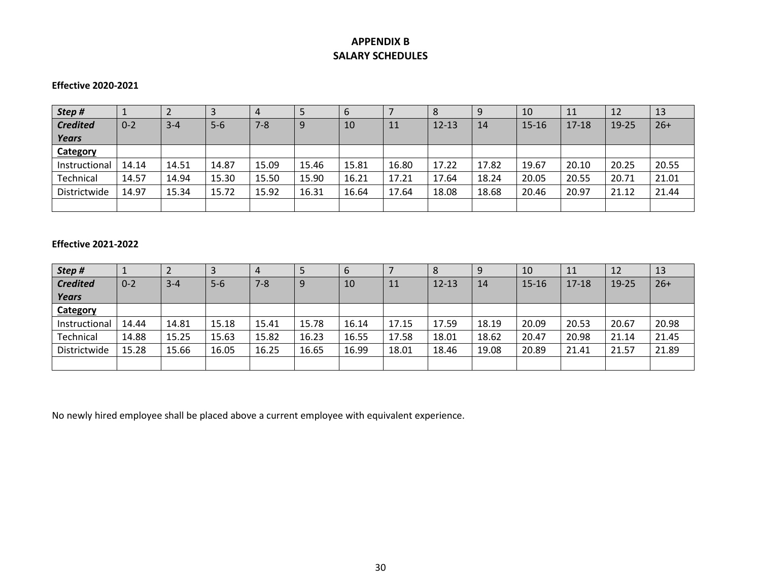# **APPENDIX B SALARY SCHEDULES**

# **Effective 2020-2021**

| Step#           | ᅩ       |         | 3     |         |       | $\mathbf b$ |       | 8         | 9     | 10        | 11        | 12    | 13    |
|-----------------|---------|---------|-------|---------|-------|-------------|-------|-----------|-------|-----------|-----------|-------|-------|
| <b>Credited</b> | $0 - 2$ | $3 - 4$ | $5-6$ | $7 - 8$ |       | 10          | 11    | $12 - 13$ | 14    | $15 - 16$ | $17 - 18$ | 19-25 | $26+$ |
| Years           |         |         |       |         |       |             |       |           |       |           |           |       |       |
| Category        |         |         |       |         |       |             |       |           |       |           |           |       |       |
| Instructional   | 14.14   | 14.51   | 14.87 | 15.09   | 15.46 | 15.81       | 16.80 | 17.22     | 17.82 | 19.67     | 20.10     | 20.25 | 20.55 |
| Technical       | 14.57   | 14.94   | 15.30 | 15.50   | 15.90 | 16.21       | 17.21 | 17.64     | 18.24 | 20.05     | 20.55     | 20.71 | 21.01 |
| Districtwide    | 14.97   | 15.34   | 15.72 | 15.92   | 16.31 | 16.64       | 17.64 | 18.08     | 18.68 | 20.46     | 20.97     | 21.12 | 21.44 |
|                 |         |         |       |         |       |             |       |           |       |           |           |       |       |

# **Effective 2021-2022**

| $\overline{\mathsf{Step H}}$ | ᅩ       |         | Ð     |         |       | b     |       | 8         |       | 10    | 11        | 12    | 13    |
|------------------------------|---------|---------|-------|---------|-------|-------|-------|-----------|-------|-------|-----------|-------|-------|
| <b>Credited</b>              | $0 - 2$ | $3 - 4$ | $5-6$ | $7 - 8$ | 9     | 10    | 11    | $12 - 13$ | 14    | 15-16 | $17 - 18$ | 19-25 | $26+$ |
| <b>Years</b>                 |         |         |       |         |       |       |       |           |       |       |           |       |       |
| Category                     |         |         |       |         |       |       |       |           |       |       |           |       |       |
| Instructional                | 14.44   | 14.81   | 15.18 | 15.41   | 15.78 | 16.14 | 17.15 | 17.59     | 18.19 | 20.09 | 20.53     | 20.67 | 20.98 |
| Technical                    | 14.88   | 15.25   | 15.63 | 15.82   | 16.23 | 16.55 | 17.58 | 18.01     | 18.62 | 20.47 | 20.98     | 21.14 | 21.45 |
| Districtwide                 | 15.28   | 15.66   | 16.05 | 16.25   | 16.65 | 16.99 | 18.01 | 18.46     | 19.08 | 20.89 | 21.41     | 21.57 | 21.89 |
|                              |         |         |       |         |       |       |       |           |       |       |           |       |       |

No newly hired employee shall be placed above a current employee with equivalent experience.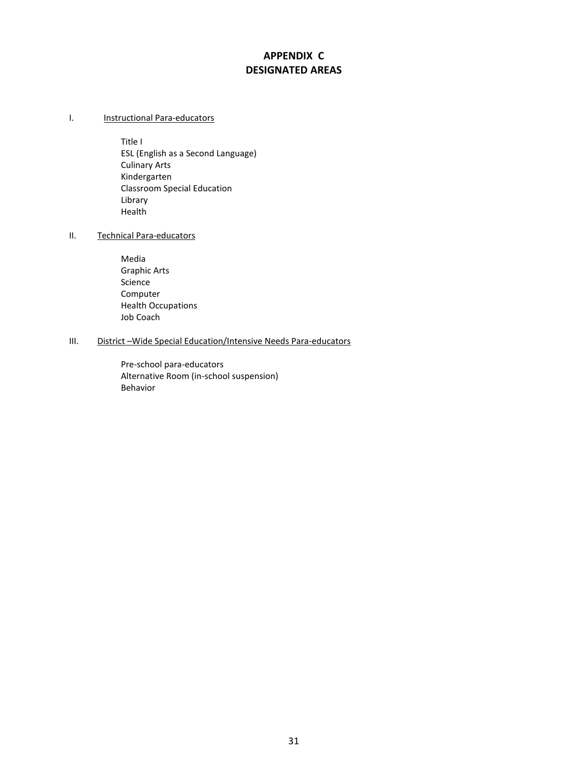# **APPENDIX C DESIGNATED AREAS**

# I. **Instructional Para-educators**

Title I ESL (English as a Second Language) Culinary Arts Kindergarten Classroom Special Education Library Health

# II. Technical Para-educators

Media Graphic Arts Science Computer Health Occupations Job Coach

# III. District –Wide Special Education/Intensive Needs Para-educators

Pre-school para-educators Alternative Room (in-school suspension) Behavior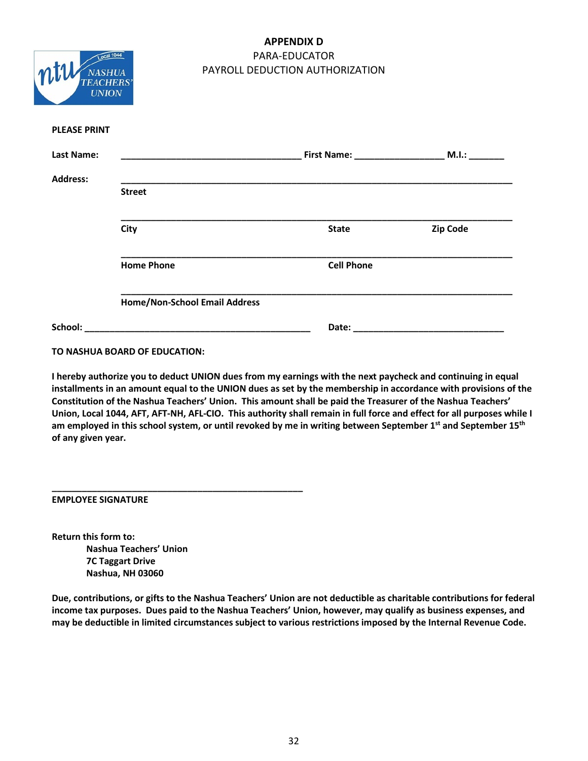# **APPENDIX D** PARA-EDUCATOR PAYROLL DEDUCTION AUTHORIZATION



| <b>PLEASE PRINT</b> |                                      |                                  |                 |
|---------------------|--------------------------------------|----------------------------------|-----------------|
| Last Name:          |                                      | First Name: ____________________ | M.I.:           |
| <b>Address:</b>     |                                      |                                  |                 |
|                     | <b>Street</b>                        |                                  |                 |
|                     | City                                 | <b>State</b>                     | <b>Zip Code</b> |
|                     | <b>Home Phone</b>                    | <b>Cell Phone</b>                |                 |
|                     | <b>Home/Non-School Email Address</b> |                                  |                 |
| School:             |                                      | Date:                            |                 |

**TO NASHUA BOARD OF EDUCATION:**

**I hereby authorize you to deduct UNION dues from my earnings with the next paycheck and continuing in equal installments in an amount equal to the UNION dues as set by the membership in accordance with provisions of the Constitution of the Nashua Teachers' Union. This amount shall be paid the Treasurer of the Nashua Teachers' Union, Local 1044, AFT, AFT-NH, AFL-CIO. This authority shall remain in full force and effect for all purposes while I**  am employed in this school system, or until revoked by me in writing between September 1<sup>st</sup> and September 15<sup>th</sup> **of any given year.**

**EMPLOYEE SIGNATURE**

**Return this form to: Nashua Teachers' Union 7C Taggart Drive Nashua, NH 03060**

**\_\_\_\_\_\_\_\_\_\_\_\_\_\_\_\_\_\_\_\_\_\_\_\_\_\_\_\_\_\_\_\_\_\_\_\_\_\_\_\_\_\_\_\_\_\_\_\_\_\_**

**Due, contributions, or gifts to the Nashua Teachers' Union are not deductible as charitable contributions for federal income tax purposes. Dues paid to the Nashua Teachers' Union, however, may qualify as business expenses, and may be deductible in limited circumstances subject to various restrictions imposed by the Internal Revenue Code.**